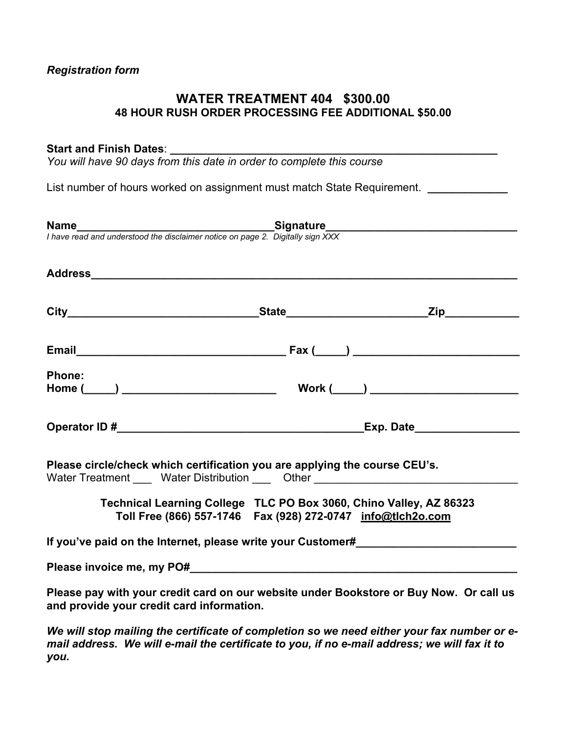### *Registration form*

### **WATER TREATMENT 404 \$300.00 48 HOUR RUSH ORDER PROCESSING FEE ADDITIONAL \$50.00**

### Start and Finish Dates:

*You will have 90 days from this date in order to complete this course* 

List number of hours worked on assignment must match State Requirement. *\_\_\_\_\_\_\_\_\_\_\_\_* 

| <b>Name</b><br>I have read and understood the disclaimer notice on page 2. Digitally sign XXX                                                                  |  |
|----------------------------------------------------------------------------------------------------------------------------------------------------------------|--|
|                                                                                                                                                                |  |
|                                                                                                                                                                |  |
|                                                                                                                                                                |  |
| <b>Phone:</b>                                                                                                                                                  |  |
|                                                                                                                                                                |  |
| Please circle/check which certification you are applying the course CEU's.<br>Water Treatment _____ Water Distribution _____ Other ___________________________ |  |
| Technical Learning College TLC PO Box 3060, Chino Valley, AZ 86323<br>Toll Free (866) 557-1746    Fax (928) 272-0747    info@tlch2o.com                        |  |
| If you've paid on the Internet, please write your Customer#                                                                                                    |  |
|                                                                                                                                                                |  |
| Please pay with your credit card on our website under Bookstore or Buy Now. Or call us<br>and provide your credit card information.                            |  |

*We will stop mailing the certificate of completion so we need either your fax number or email address. We will e-mail the certificate to you, if no e-mail address; we will fax it to you.*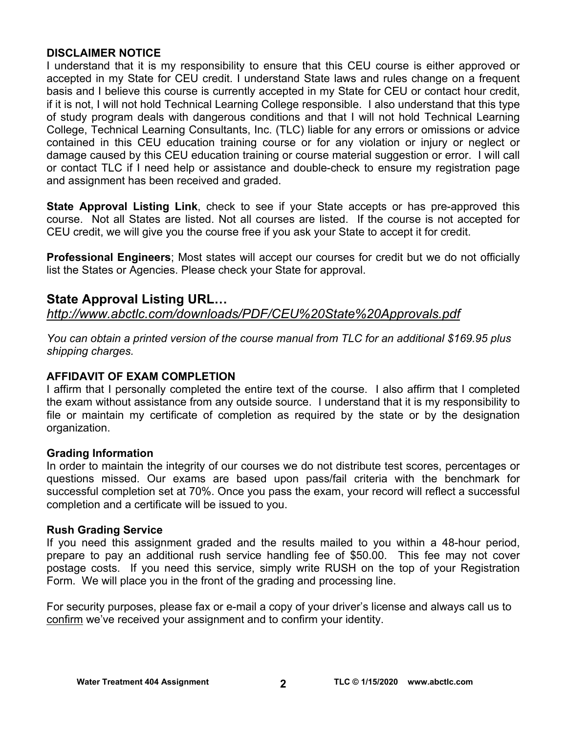### **DISCLAIMER NOTICE**

I understand that it is my responsibility to ensure that this CEU course is either approved or accepted in my State for CEU credit. I understand State laws and rules change on a frequent basis and I believe this course is currently accepted in my State for CEU or contact hour credit, if it is not, I will not hold Technical Learning College responsible. I also understand that this type of study program deals with dangerous conditions and that I will not hold Technical Learning College, Technical Learning Consultants, Inc. (TLC) liable for any errors or omissions or advice contained in this CEU education training course or for any violation or injury or neglect or damage caused by this CEU education training or course material suggestion or error. I will call or contact TLC if I need help or assistance and double-check to ensure my registration page and assignment has been received and graded.

**State Approval Listing Link**, check to see if your State accepts or has pre-approved this course. Not all States are listed. Not all courses are listed. If the course is not accepted for CEU credit, we will give you the course free if you ask your State to accept it for credit.

**Professional Engineers**; Most states will accept our courses for credit but we do not officially list the States or Agencies. Please check your State for approval.

## **State Approval Listing URL…**

*<http://www.abctlc.com/downloads/PDF/CEU%20State%20Approvals.pdf>*

*You can obtain a printed version of the course manual from TLC for an additional \$169.95 plus shipping charges.* 

### **AFFIDAVIT OF EXAM COMPLETION**

I affirm that I personally completed the entire text of the course. I also affirm that I completed the exam without assistance from any outside source. I understand that it is my responsibility to file or maintain my certificate of completion as required by the state or by the designation organization.

### **Grading Information**

In order to maintain the integrity of our courses we do not distribute test scores, percentages or questions missed. Our exams are based upon pass/fail criteria with the benchmark for successful completion set at 70%. Once you pass the exam, your record will reflect a successful completion and a certificate will be issued to you.

### **Rush Grading Service**

If you need this assignment graded and the results mailed to you within a 48-hour period, prepare to pay an additional rush service handling fee of \$50.00. This fee may not cover postage costs. If you need this service, simply write RUSH on the top of your Registration Form. We will place you in the front of the grading and processing line.

For security purposes, please fax or e-mail a copy of your driver's license and always call us to confirm we've received your assignment and to confirm your identity.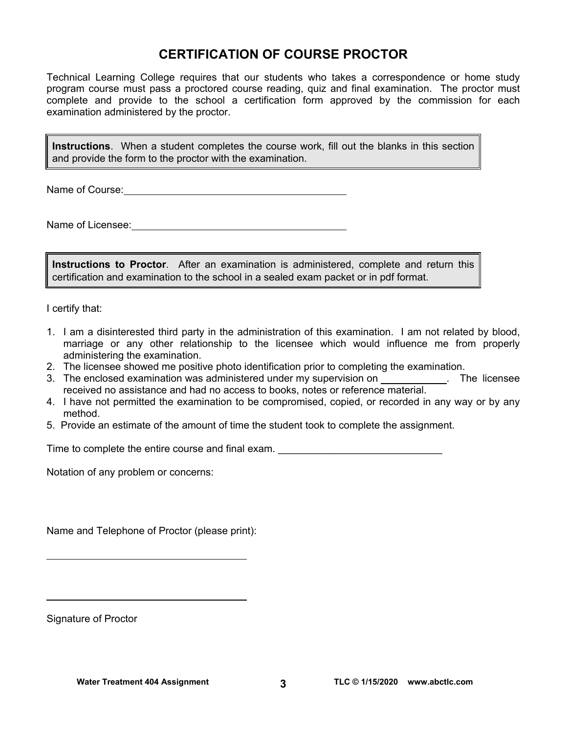## **CERTIFICATION OF COURSE PROCTOR**

Technical Learning College requires that our students who takes a correspondence or home study program course must pass a proctored course reading, quiz and final examination. The proctor must complete and provide to the school a certification form approved by the commission for each examination administered by the proctor.

**Instructions**. When a student completes the course work, fill out the blanks in this section and provide the form to the proctor with the examination.

Name of Course:  $\blacksquare$ 

Name of Licensee:  $\qquad \qquad \qquad$ 

**Instructions to Proctor**. After an examination is administered, complete and return this certification and examination to the school in a sealed exam packet or in pdf format.

I certify that:

- 1. I am a disinterested third party in the administration of this examination. I am not related by blood, marriage or any other relationship to the licensee which would influence me from properly administering the examination.
- 2. The licensee showed me positive photo identification prior to completing the examination.
- 3. The enclosed examination was administered under my supervision on . The licensee received no assistance and had no access to books, notes or reference material.
- 4. I have not permitted the examination to be compromised, copied, or recorded in any way or by any method.
- 5. Provide an estimate of the amount of time the student took to complete the assignment.

Time to complete the entire course and final exam. \_\_\_\_\_\_\_\_\_\_\_\_\_\_\_\_\_\_\_\_\_\_\_\_\_\_\_\_\_

Notation of any problem or concerns:

Name and Telephone of Proctor (please print):

Signature of Proctor

 $\overline{a}$ 

 $\overline{a}$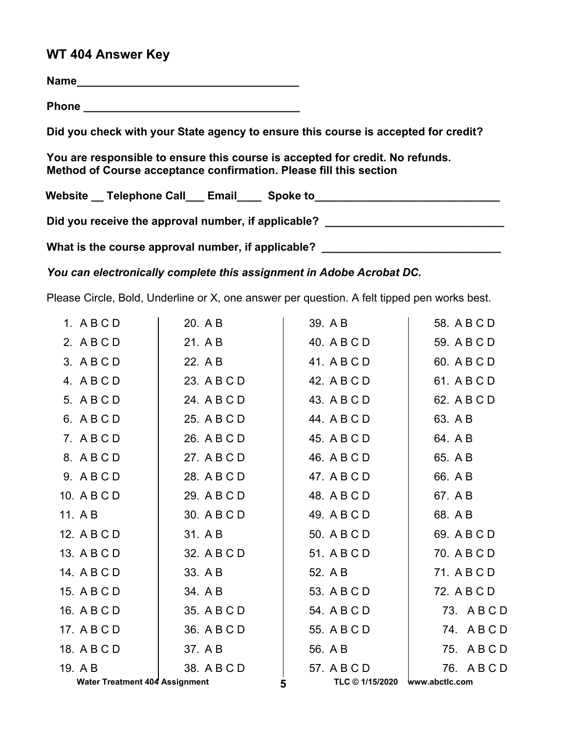## **WT 404 Answer Key**

**Name\_\_\_\_\_\_\_\_\_\_\_\_\_\_\_\_\_\_\_\_\_\_\_\_\_\_\_\_\_\_\_\_\_\_\_\_**

**Phone \_\_\_\_\_\_\_\_\_\_\_\_\_\_\_\_\_\_\_\_\_\_\_\_\_\_\_\_\_\_\_\_\_\_\_** 

**Did you check with your State agency to ensure this course is accepted for credit?** 

**You are responsible to ensure this course is accepted for credit. No refunds. Method of Course acceptance confirmation. Please fill this section** 

Website \_\_ Telephone Call \_\_ Email \_\_\_ Spoke to \_\_\_\_\_\_\_\_\_\_\_\_\_\_\_\_\_\_\_\_\_\_\_\_\_\_\_\_\_\_\_\_

Did you receive the approval number, if applicable?

What is the course approval number, if applicable? \_\_\_\_\_\_\_\_\_\_\_\_\_\_\_\_\_\_\_\_\_\_\_\_\_\_\_\_\_

*You can electronically complete this assignment in Adobe Acrobat DC.* 

Please Circle, Bold, Underline or X, one answer per question. A felt tipped pen works best.

| <b>Water Treatment 404 Assignment</b> |             | TLC © 1/15/2020 www.abctlc.com<br>5 |             |
|---------------------------------------|-------------|-------------------------------------|-------------|
| 19. A B                               | 38. A B C D | 57. A B C D                         | 76. ABCD    |
| 18. A B C D                           | 37. A B     | 56. A B                             | 75. ABCD    |
| 17. A B C D                           | 36. A B C D | 55. A B C D                         | 74. ABCD    |
| 16. A B C D                           | 35. A B C D | 54. A B C D                         | 73. ABCD    |
| 15. A B C D                           | 34. A B     | 53. A B C D                         | 72. A B C D |
| 14. A B C D                           | 33. A B     | 52. A B                             | 71. A B C D |
| 13. A B C D                           | 32. A B C D | 51. A B C D                         | 70. A B C D |
| 12. A B C D                           | 31. A B     | 50. A B C D                         | 69. A B C D |
| 11. A B                               | 30. A B C D | 49. A B C D                         | 68. A B     |
| 10. A B C D                           | 29. A B C D | 48. A B C D                         | 67. A B     |
| 9. ABCD                               | 28. A B C D | 47. A B C D                         | 66. A B     |
| 8. ABCD                               | 27. A B C D | 46. A B C D                         | 65. A B     |
| 7. ABCD                               | 26. A B C D | 45. A B C D                         | 64. AB      |
| 6. ABCD                               | 25. A B C D | 44. A B C D                         | 63. A B     |
| 5. A B C D                            | 24. A B C D | 43. A B C D                         | 62. A B C D |
| 4. ABCD                               | 23. A B C D | 42. A B C D                         | 61. A B C D |
| 3. ABCD                               | 22. A B     | 41. A B C D                         | 60. A B C D |
| 2. ABCD                               | 21. A B     | 40. A B C D                         | 59. A B C D |
| 1. ABCD                               | 20. A B     | 39. A B                             | 58. A B C D |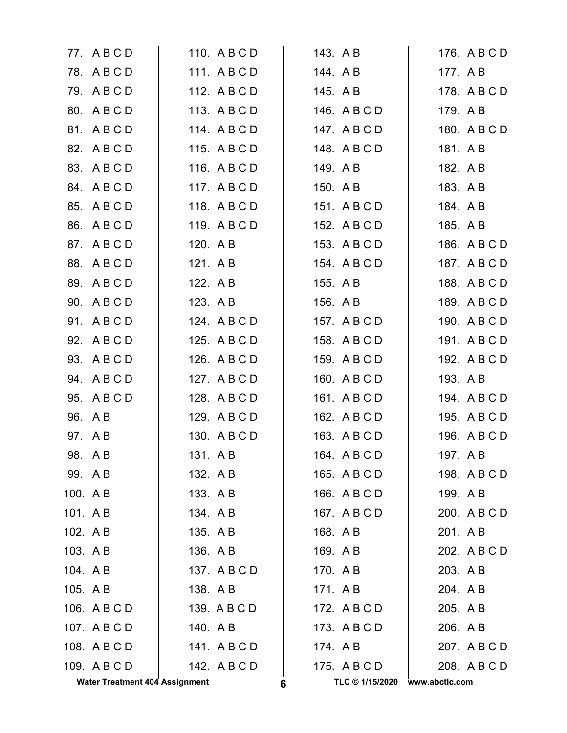|          | 77. ABCD                              |          | 110. A B C D |   | 143. A B        |                | 176. A B C D |
|----------|---------------------------------------|----------|--------------|---|-----------------|----------------|--------------|
|          | 78. ABCD                              |          | 111. ABCD    |   | 144. A B        | 177. A B       |              |
|          | 79. ABCD                              |          | 112. A B C D |   | 145. A B        |                | 178. A B C D |
|          | 80. A B C D                           |          | 113. A B C D |   | 146. A B C D    | 179. AB        |              |
|          | 81. A B C D                           |          | 114. A B C D |   | 147. A B C D    |                | 180. A B C D |
|          | 82. A B C D                           |          | 115. A B C D |   | 148. A B C D    | 181. A B       |              |
|          | 83. A B C D                           |          | 116. A B C D |   | 149. A B        | 182. A B       |              |
|          | 84. A B C D                           |          | 117. A B C D |   | 150. A B        | 183. A B       |              |
|          | 85. A B C D                           |          | 118. A B C D |   | 151. A B C D    | 184. A B       |              |
|          | 86. A B C D                           |          | 119. ABCD    |   | 152. A B C D    | 185. A B       |              |
|          | 87. A B C D                           | 120. A B |              |   | 153. A B C D    |                | 186. A B C D |
|          | 88. A B C D                           | 121. A B |              |   | 154. A B C D    |                | 187. A B C D |
|          | 89. A B C D                           | 122. A B |              |   | 155. A B        |                | 188. A B C D |
|          | 90. A B C D                           | 123. A B |              |   | 156. A B        |                | 189. A B C D |
|          | 91. A B C D                           |          | 124. A B C D |   | 157. A B C D    |                | 190. A B C D |
|          | 92. A B C D                           |          | 125. A B C D |   | 158. A B C D    |                | 191. A B C D |
|          | 93. A B C D                           |          | 126. A B C D |   | 159. ABCD       |                | 192. A B C D |
|          | 94. A B C D                           |          | 127. A B C D |   | 160. A B C D    | 193. A B       |              |
|          | 95. A B C D                           |          | 128. A B C D |   | 161. A B C D    |                | 194. A B C D |
|          | 96. A B                               |          | 129. A B C D |   | 162. A B C D    |                | 195. A B C D |
|          | 97. AB                                |          | 130. A B C D |   | 163. A B C D    |                | 196. A B C D |
|          | 98. AB                                | 131. AB  |              |   | 164. A B C D    | 197. A B       |              |
| 99. AB   |                                       | 132. A B |              |   | 165. A B C D    |                | 198. A B C D |
| 100. A B |                                       | 133. A B |              |   | 166. A B C D    | 199. AB        |              |
| 101. A B |                                       | 134. AB  |              |   | 167. A B C D    |                | 200. A B C D |
| 102. AB  |                                       | 135. A B |              |   | 168. A B        | 201. AB        |              |
| 103. AB  |                                       | 136. AB  |              |   | 169. AB         |                | 202. A B C D |
| 104. A B |                                       |          | 137. ABCD    |   | 170. A B        | 203. A B       |              |
| 105. A B |                                       | 138. A B |              |   | 171. AB         | 204. A B       |              |
|          | 106. A B C D                          |          | 139. A B C D |   | 172. A B C D    | 205. A B       |              |
|          | 107. A B C D                          | 140. A B |              |   | 173. A B C D    | 206. A B       |              |
|          | 108. A B C D                          |          | 141. ABCD    |   | 174. AB         |                | 207. A B C D |
|          | 109. A B C D                          |          | 142. A B C D |   | 175. A B C D    |                | 208. A B C D |
|          | <b>Water Treatment 404 Assignment</b> |          |              | 6 | TLC © 1/15/2020 | www.abctlc.com |              |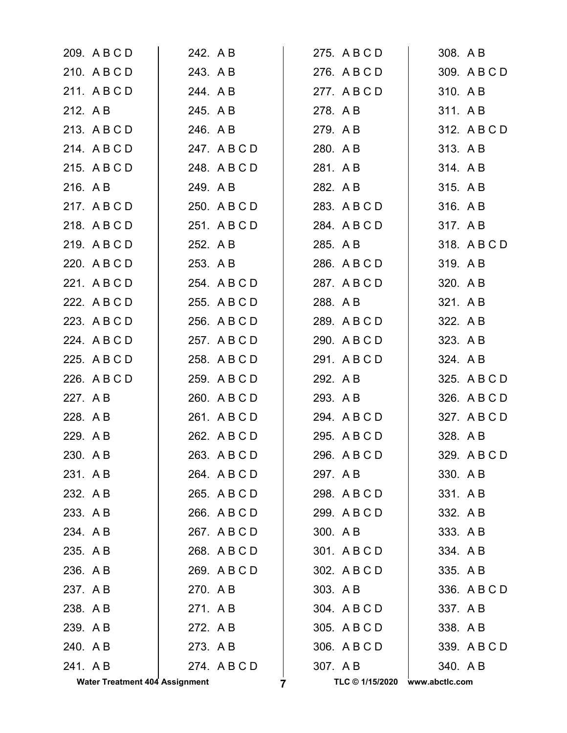|          | <b>Water Treatment 404 Assignment</b> |          | 7            | TLC © 1/15/2020 | www.abctlc.com |              |
|----------|---------------------------------------|----------|--------------|-----------------|----------------|--------------|
| 241. AB  |                                       |          | 274. ABCD    | 307. A B        | 340. AB        |              |
| 240. AB  |                                       | 273. AB  |              | 306. A B C D    |                | 339. A B C D |
| 239. AB  |                                       | 272. A B |              | 305. A B C D    | 338. AB        |              |
| 238. AB  |                                       | 271. AB  |              | 304. A B C D    | 337. AB        |              |
| 237. AB  |                                       | 270. AB  |              | 303. AB         |                | 336. A B C D |
| 236. AB  |                                       |          | 269. A B C D | 302. A B C D    | 335. A B       |              |
| 235. A B |                                       |          | 268. A B C D | 301. A B C D    | 334. AB        |              |
| 234. AB  |                                       |          | 267. A B C D | 300. AB         | 333. A B       |              |
| 233. A B |                                       |          | 266. A B C D | 299. A B C D    | 332. A B       |              |
| 232. A B |                                       |          | 265. A B C D | 298. ABCD       | 331. AB        |              |
| 231. A B |                                       |          | 264. A B C D | 297. A B        | 330. AB        |              |
| 230. AB  |                                       |          | 263. A B C D | 296. A B C D    |                | 329. A B C D |
| 229. AB  |                                       |          | 262. A B C D | 295. A B C D    | 328. A B       |              |
| 228. AB  |                                       |          | 261. A B C D | 294. A B C D    |                | 327. A B C D |
| 227. A B |                                       |          | 260. A B C D | 293. A B        |                | 326. A B C D |
|          | 226. A B C D                          |          | 259. A B C D | 292. A B        |                | 325. A B C D |
|          | 225. A B C D                          |          | 258. A B C D | 291. A B C D    | 324. A B       |              |
|          | 224. A B C D                          |          | 257. A B C D | 290. A B C D    | 323. A B       |              |
|          | 223. A B C D                          |          | 256. A B C D | 289. A B C D    | 322. A B       |              |
|          | 222. A B C D                          |          | 255. A B C D | 288. A B        | 321. AB        |              |
|          | 221. A B C D                          |          | 254. A B C D | 287. A B C D    | 320. A B       |              |
|          | 220. A B C D                          | 253. A B |              | 286. A B C D    | 319. AB        |              |
|          | 219. A B C D                          | 252. A B |              | 285. A B        |                | 318. A B C D |
|          | 218. ABCD                             |          | 251. A B C D | 284. A B C D    | 317. AB        |              |
|          | 217. A B C D                          |          | 250. A B C D | 283. A B C D    | 316. AB        |              |
| 216. A B |                                       | 249. A B |              | 282. A B        | 315. A B       |              |
|          | 215. A B C D                          |          | 248. A B C D | 281. A B        | 314. AB        |              |
|          | 214. ABCD                             |          | 247. A B C D | 280. A B        | 313. AB        |              |
|          | 213. A B C D                          | 246. A B |              | 279. A B        |                | 312. A B C D |
| 212. A B |                                       | 245. A B |              | 278. A B        | 311. A B       |              |
|          | 211. ABCD                             | 244. AB  |              | 277. A B C D    | 310. AB        |              |
|          | 210. A B C D                          | 243. AB  |              | 276. A B C D    |                | 309. A B C D |
|          | 209. A B C D                          | 242. A B |              | 275. A B C D    | 308. A B       |              |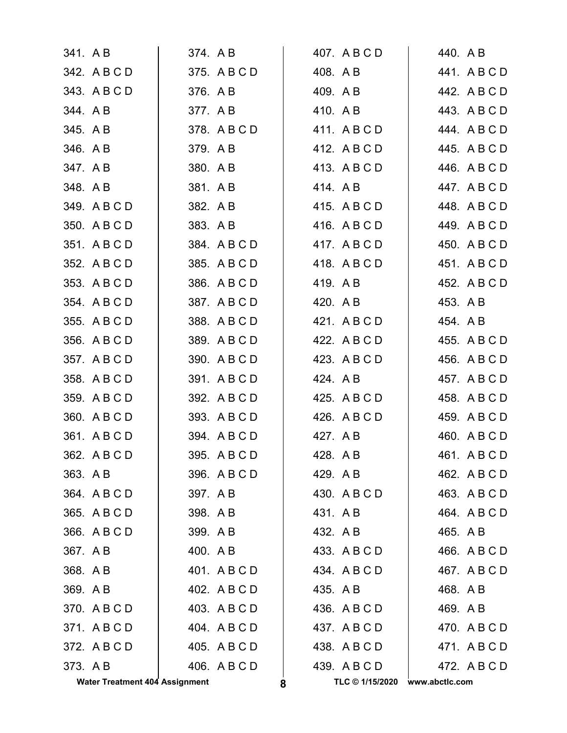|          | <b>Water Treatment 404 Assignment</b> |          |              | 8        | TLC © 1/15/2020 | www.abctlc.com |              |
|----------|---------------------------------------|----------|--------------|----------|-----------------|----------------|--------------|
| 373. AB  |                                       |          | 406. A B C D |          | 439. A B C D    |                | 472. A B C D |
|          | 372. A B C D                          |          | 405. A B C D |          | 438. A B C D    |                | 471. ABCD    |
|          | 371. ABCD                             |          | 404. A B C D |          | 437. A B C D    |                | 470. A B C D |
|          | 370. ABCD                             |          | 403. A B C D |          | 436. A B C D    | 469. A B       |              |
| 369. AB  |                                       |          | 402. A B C D | 435. A B |                 | 468. A B       |              |
| 368. AB  |                                       |          | 401. A B C D |          | 434. A B C D    |                | 467. A B C D |
| 367. AB  |                                       | 400. A B |              |          | 433. A B C D    |                | 466. A B C D |
|          | 366. A B C D                          | 399. AB  |              | 432. A B |                 | 465. A B       |              |
|          | 365. A B C D                          | 398. A B |              | 431. A B |                 |                | 464. ABCD    |
|          | 364. A B C D                          | 397. A B |              |          | 430. A B C D    |                | 463. A B C D |
| 363. A B |                                       |          | 396. A B C D | 429. A B |                 |                | 462. A B C D |
|          | 362. A B C D                          |          | 395. A B C D | 428. AB  |                 |                | 461. A B C D |
|          | 361. A B C D                          |          | 394. A B C D | 427. A B |                 |                | 460. A B C D |
|          | 360. A B C D                          |          | 393. A B C D |          | 426. A B C D    |                | 459. A B C D |
|          | 359. A B C D                          |          | 392. A B C D |          | 425. A B C D    |                | 458. A B C D |
|          | 358. A B C D                          |          | 391. A B C D | 424. A B |                 |                | 457. A B C D |
|          | 357. A B C D                          |          | 390. A B C D |          | 423. A B C D    |                | 456. A B C D |
|          | 356. A B C D                          |          | 389. A B C D |          | 422. A B C D    |                | 455. A B C D |
|          | 355. A B C D                          |          | 388. A B C D |          | 421. A B C D    | 454. A B       |              |
|          | 354. ABCD                             |          | 387. ABCD    | 420. A B |                 | 453. A B       |              |
|          | 353. A B C D                          |          | 386. A B C D | 419. AB  |                 |                | 452. A B C D |
|          | 352. A B C D                          |          | 385. A B C D |          | 418. A B C D    |                | 451. A B C D |
|          | 351. A B C D                          |          | 384. A B C D |          | 417. ABCD       |                | 450. A B C D |
|          | 350. A B C D                          | 383. AB  |              |          | 416. ABCD       |                | 449. A B C D |
|          | 349. A B C D                          | 382. A B |              |          | 415. A B C D    |                | 448. A B C D |
| 348. AB  |                                       | 381. AB  |              |          | 414. AB         |                | 447. A B C D |
| 347. AB  |                                       | 380. AB  |              |          | 413. A B C D    |                | 446. A B C D |
| 346. AB  |                                       | 379. AB  |              |          | 412. ABCD       |                | 445. A B C D |
| 345. A B |                                       |          | 378. A B C D |          | 411. ABCD       |                | 444. A B C D |
| 344. AB  |                                       | 377. AB  |              | 410. A B |                 |                | 443. A B C D |
|          | 343. A B C D                          | 376. AB  |              | 409. AB  |                 |                | 442. A B C D |
|          | 342. A B C D                          |          | 375. A B C D | 408. A B |                 |                | 441. A B C D |
| 341. A B |                                       | 374. A B |              |          | 407. A B C D    | 440. A B       |              |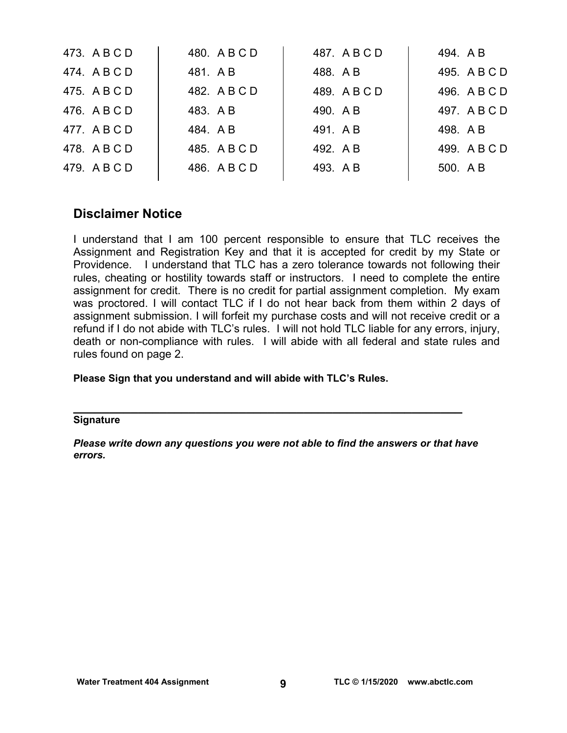| 473. A B C D | 480. A B C D | 487. ABCD    | 494. AB      |
|--------------|--------------|--------------|--------------|
| 474. A B C D | 481. AB      | 488. AB      | 495. A B C D |
| 475. A B C D | 482. A B C D | 489. A B C D | 496. A B C D |
| 476. A B C D | 483. A B     | 490. A B     | 497. A B C D |
| 477. ABCD    | 484. AB      | 491. AB      | 498. AB      |
| 478. A B C D | 485. A B C D | 492. A B     | 499. A B C D |
| 479. A B C D | 486. A B C D | 493. AB      | 500. AB      |
|              |              |              |              |

## **Disclaimer Notice**

I understand that I am 100 percent responsible to ensure that TLC receives the Assignment and Registration Key and that it is accepted for credit by my State or Providence. I understand that TLC has a zero tolerance towards not following their rules, cheating or hostility towards staff or instructors. I need to complete the entire assignment for credit. There is no credit for partial assignment completion. My exam was proctored. I will contact TLC if I do not hear back from them within 2 days of assignment submission. I will forfeit my purchase costs and will not receive credit or a refund if I do not abide with TLC's rules. I will not hold TLC liable for any errors, injury, death or non-compliance with rules. I will abide with all federal and state rules and rules found on page 2.

### **Please Sign that you understand and will abide with TLC's Rules.**

# **\_\_\_\_\_\_\_\_\_\_\_\_\_\_\_\_\_\_\_\_\_\_\_\_\_\_\_\_\_\_\_\_\_\_\_\_\_\_\_\_\_\_\_\_\_\_\_\_\_\_\_\_\_\_ Signature**

*Please write down any questions you were not able to find the answers or that have errors.*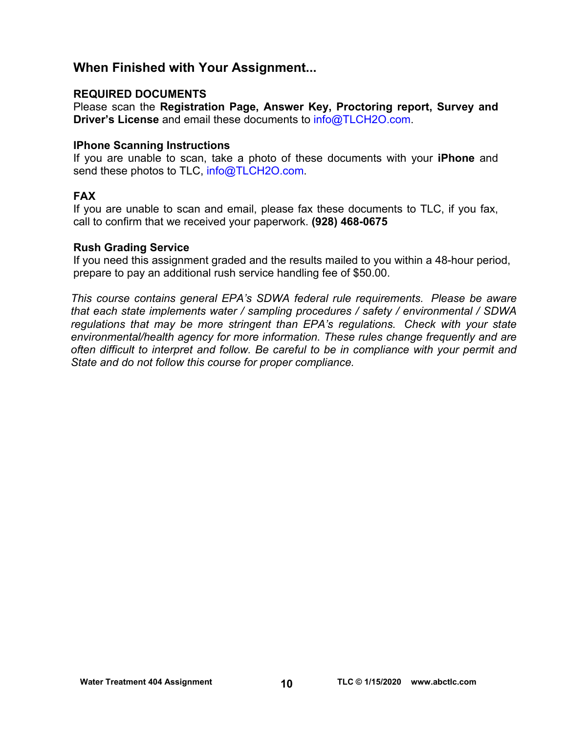## **When Finished with Your Assignment...**

### **REQUIRED DOCUMENTS**

Please scan the **Registration Page, Answer Key, Proctoring report, Survey and Driver's License** and email these documents to [info@TLCH2O.com.](mailto:info@TLCH2O.com) 

### **IPhone Scanning Instructions**

If you are unable to scan, take a photo of these documents with your **iPhone** and send these photos to TLC, info@TLCH2O.com.

### **FAX**

If you are unable to scan and email, please fax these documents to TLC, if you fax, call to confirm that we received your paperwork. **(928) 468-0675** 

### **Rush Grading Service**

If you need this assignment graded and the results mailed to you within a 48-hour period, prepare to pay an additional rush service handling fee of \$50.00.

*This course contains general EPA's SDWA federal rule requirements. Please be aware that each state implements water / sampling procedures / safety / environmental / SDWA regulations that may be more stringent than EPA's regulations. Check with your state environmental/health agency for more information. These rules change frequently and are often difficult to interpret and follow. Be careful to be in compliance with your permit and State and do not follow this course for proper compliance.*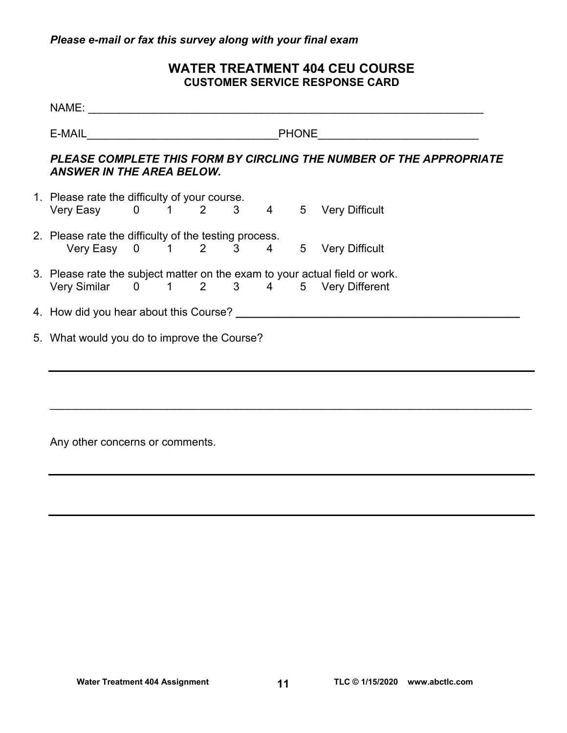## **WATER TREATMENT 404 CEU COURSE CUSTOMER SERVICE RESPONSE CARD**

| E-MAIL PHONE PHONE<br>PLEASE COMPLETE THIS FORM BY CIRCLING THE NUMBER OF THE APPROPRIATE<br><b>ANSWER IN THE AREA BELOW.</b><br>1. Please rate the difficulty of your course.<br>Very Easy 0 1 2 3 4 5 Very Difficult<br>2. Please rate the difficulty of the testing process.<br>Very Easy 0 1 2 3 4 5 Very Difficult<br>3. Please rate the subject matter on the exam to your actual field or work.<br>Very Similar 0 1 2 3 4 5 Very Different |
|---------------------------------------------------------------------------------------------------------------------------------------------------------------------------------------------------------------------------------------------------------------------------------------------------------------------------------------------------------------------------------------------------------------------------------------------------|
|                                                                                                                                                                                                                                                                                                                                                                                                                                                   |
|                                                                                                                                                                                                                                                                                                                                                                                                                                                   |
|                                                                                                                                                                                                                                                                                                                                                                                                                                                   |
|                                                                                                                                                                                                                                                                                                                                                                                                                                                   |
|                                                                                                                                                                                                                                                                                                                                                                                                                                                   |
|                                                                                                                                                                                                                                                                                                                                                                                                                                                   |
| 5. What would you do to improve the Course?                                                                                                                                                                                                                                                                                                                                                                                                       |

Any other concerns or comments.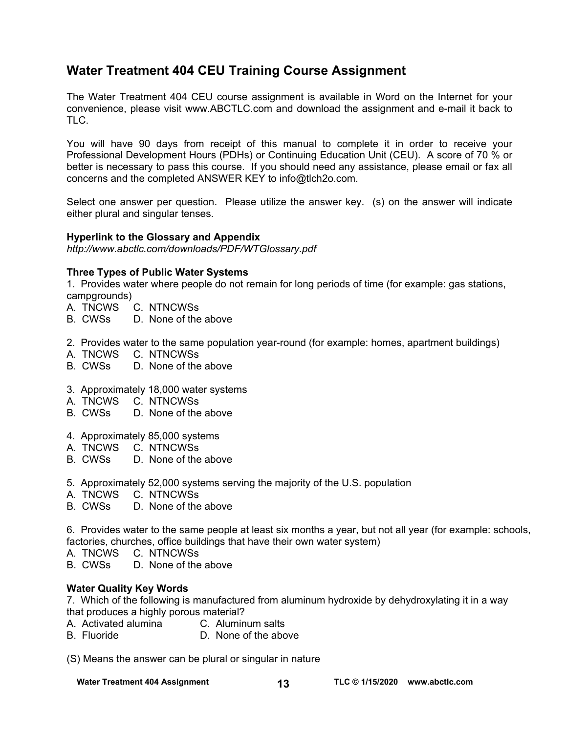## **Water Treatment 404 CEU Training Course Assignment**

The Water Treatment 404 CEU course assignment is available in Word on the Internet for your convenience, please visit [www.ABCTLC.com an](http://www.ABCTLC.com)d download the assignment and e-mail it back to TLC.

You will have 90 days from receipt of this manual to complete it in order to receive your Professional Development Hours (PDHs) or Continuing Education Unit (CEU). A score of 70 % or better is necessary to pass this course. If you should need any assistance, please email or fax all concerns and the completed ANSWER KEY to [info@tlch2o.com.](mailto:info@tlch2o.com) 

Select one answer per question. Please utilize the answer key. (s) on the answer will indicate either plural and singular tenses.

#### **Hyperlink to the Glossary and Appendix**

*<http://www.abctlc.com/downloads/PDF/WTGlossary.pdf>*

#### **Three Types of Public Water Systems**

1. Provides water where people do not remain for long periods of time (for example: gas stations, campgrounds)

- A. TNCWS C. NTNCWSs
- B. CWSs D. None of the above
- 2. Provides water to the same population year-round (for example: homes, apartment buildings)
- A. TNCWS C. NTNCWSs
- B. CWSs D. None of the above
- 3. Approximately 18,000 water systems
- A. TNCWS C. NTNCWSs
- B. CWSs D. None of the above
- 4. Approximately 85,000 systems
- A. TNCWS C. NTNCWSs
- B. CWSs D. None of the above
- 5. Approximately 52,000 systems serving the majority of the U.S. population
- A. TNCWS C. NTNCWSs
- B. CWSs D. None of the above

6.Provides water to the same people at least six months a year, but not all year (for example: schools, factories, churches, office buildings that have their own water system)

A. TNCWS C. NTNCWSs

B. CWSs D. None of the above

### **Water Quality Key Words**

7. Which of the following is manufactured from aluminum hydroxide by dehydroxylating it in a way that produces a highly porous material?

- A. Activated alumina C. Aluminum salts
- B. Fluoride D. None of the above

(S) Means the answer can be plural or singular in nature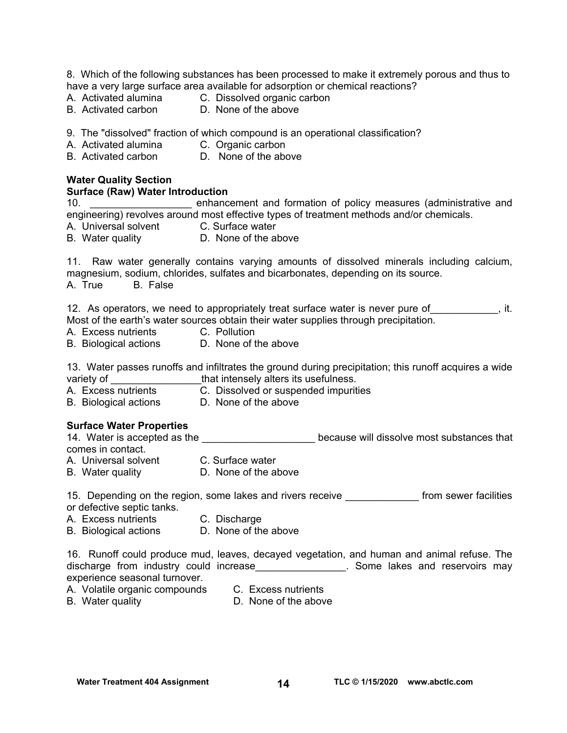8. Which of the following substances has been processed to make it extremely porous and thus to have a very large surface area available for adsorption or chemical reactions?

- A. Activated alumina C. Dissolved organic carbon
- B. Activated carbon D. None of the above
	-

9. The "dissolved" fraction of which compound is an operational classification?

A. Activated alumina C. Organic carbon

B. Activated carbon D. None of the above

#### **Water Quality Section**

#### **Surface (Raw) Water Introduction**

10. **Example 10.** The only enhancement and formation of policy measures (administrative and engineering) revolves around most effective types of treatment methods and/or chemicals.

A. Universal solvent C. Surface water

B. Water quality **D. None of the above** 

11. Raw water generally contains varying amounts of dissolved minerals including calcium, magnesium, sodium, chlorides, sulfates and bicarbonates, depending on its source. A. True B. False

12. As operators, we need to appropriately treat surface water is never pure of \_\_\_\_\_\_\_\_\_\_, it. Most of the earth's water sources obtain their water supplies through precipitation.

- A. Excess nutrients
- B. Biological actions D. None of the above

13. Water passes runoffs and infiltrates the ground during precipitation; this runoff acquires a wide variety of \_\_\_\_\_\_\_\_\_\_\_\_\_\_\_\_\_\_\_that intensely alters its usefulness.

A. Excess nutrients C. Dissolved or suspended impurities<br>
B. Biological actions D. None of the above B. Biological actions

#### **Surface Water Properties**

14. Water is accepted as the **the contract of the set of the set of the set of the set of the set of the set of that** comes in contact.

A. Universal solvent C. Surface water

B. Water quality **D. None of the above** 

15. Depending on the region, some lakes and rivers receive \_\_\_\_\_\_\_\_\_\_\_\_\_\_ from sewer facilities or defective septic tanks.

- A. Excess nutrients C. Discharge
- B. Biological actions D. None of the above

16. Runoff could produce mud, leaves, decayed vegetation, and human and animal refuse. The discharge from industry could increase\_\_\_\_\_\_\_\_\_\_\_\_\_\_\_\_\_\_. Some lakes and reservoirs may experience seasonal turnover.

- A. Volatile organic compounds C. Excess nutrients
- 

B. Water quality **D.** None of the above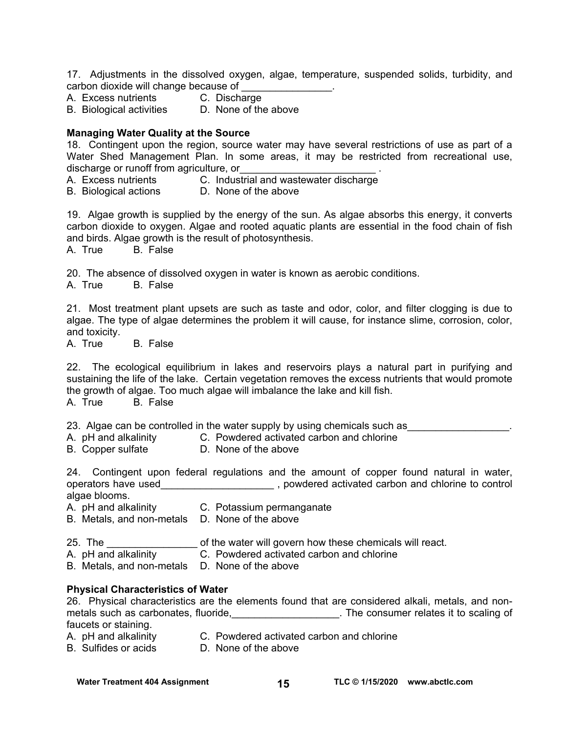17. Adjustments in the dissolved oxygen, algae, temperature, suspended solids, turbidity, and carbon dioxide will change because of

- A. Excess nutrients C. Discharge
- B. Biological activities D. None of the above

#### **Managing Water Quality at the Source**

18. Contingent upon the region, source water may have several restrictions of use as part of a Water Shed Management Plan. In some areas, it may be restricted from recreational use, discharge or runoff from agriculture, or

A. Excess nutrients C. Industrial and wastewater discharge

B. Biological actions D. None of the above

19. Algae growth is supplied by the energy of the sun. As algae absorbs this energy, it converts carbon dioxide to oxygen. Algae and rooted aquatic plants are essential in the food chain of fish and birds. Algae growth is the result of photosynthesis.

A. True B. False

20. The absence of dissolved oxygen in water is known as aerobic conditions.

A. True B. False

21. Most treatment plant upsets are such as taste and odor, color, and filter clogging is due to algae. The type of algae determines the problem it will cause, for instance slime, corrosion, color, and toxicity.<br>A. True

**B.** False

22. The ecological equilibrium in lakes and reservoirs plays a natural part in purifying and sustaining the life of the lake. Certain vegetation removes the excess nutrients that would promote the growth of algae. Too much algae will imbalance the lake and kill fish.

A. True B. False

23. Algae can be controlled in the water supply by using chemicals such as

A. pH and alkalinity C. Powdered activated carbon and chlorine

B. Copper sulfate D. None of the above

24. Contingent upon federal regulations and the amount of copper found natural in water, operators have used\_\_\_\_\_\_\_\_\_\_\_\_\_\_\_\_\_\_\_\_\_\_\_\_, powdered activated carbon and chlorine to control algae blooms.

- A. pH and alkalinity C. Potassium permanganate
- B. Metals, and non-metals D. None of the above

25. The \_\_\_\_\_\_\_\_\_\_\_\_\_\_\_\_ of the water will govern how these chemicals will react.

A. pH and alkalinity C. Powdered activated carbon and chlorine

B. Metals, and non-metals D. None of the above

#### **Physical Characteristics of Water**

26. Physical characteristics are the elements found that are considered alkali, metals, and nonmetals such as carbonates, fluoride, the consumer relates it to scaling of faucets or staining.

- A. pH and alkalinity C. Powdered activated carbon and chlorine
- B. Sulfides or acids D. None of the above

**Water Treatment 404 Assignment 100 1/15/2020** www.abctlc.com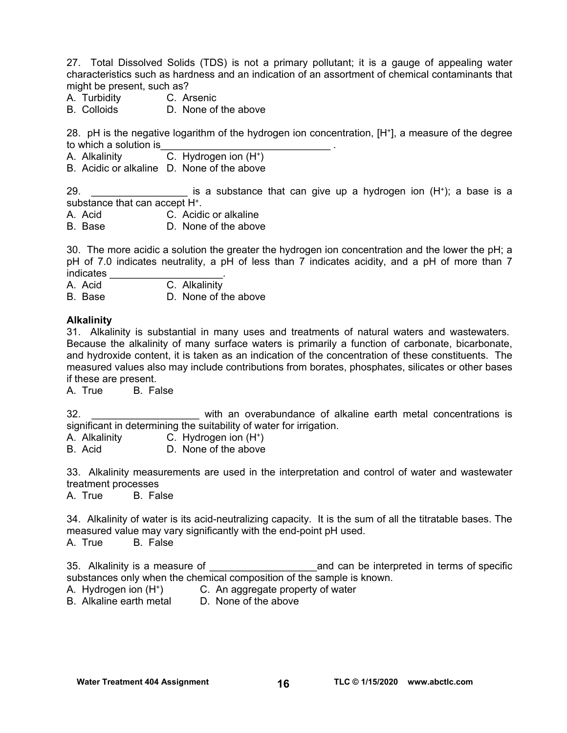27. Total Dissolved Solids (TDS) is not a primary pollutant; it is a gauge of appealing water characteristics such as hardness and an indication of an assortment of chemical contaminants that might be present, such as?

- A. Turbidity C. Arsenic
- B. Colloids D. None of the above

28. pH is the negative logarithm of the hydrogen ion concentration, [H+], a measure of the degree to which a solution is

A. Alkalinity **C.** Hydrogen ion (H<sup>+</sup>)

B. Acidic or alkaline D. None of the above

29.  $\blacksquare$  is a substance that can give up a hydrogen ion  $(H^*)$ ; a base is a substance that can accept H<sup>+</sup>.

- A. Acid C. Acidic or alkaline
- B. Base D. None of the above

30. The more acidic a solution the greater the hydrogen ion concentration and the lower the pH; a pH of 7.0 indicates neutrality, a pH of less than 7 indicates acidity, and a pH of more than 7 indicates

A. Acid C. Alkalinity

B. Base D. None of the above

#### **Alkalinity**

31. Alkalinity is substantial in many uses and treatments of natural waters and wastewaters. Because the alkalinity of many surface waters is primarily a function of carbonate, bicarbonate, and hydroxide content, it is taken as an indication of the concentration of these constituents. The measured values also may include contributions from borates, phosphates, silicates or other bases if these are present.

A. True B. False

32. \_\_\_\_\_\_\_\_\_\_\_\_\_\_\_\_\_\_\_ with an overabundance of alkaline earth metal concentrations is significant in determining the suitability of water for irrigation.

A. Alkalinity C. Hydrogen ion (H<sup>+</sup>)<br>B. Acid **D. None of the above** 

D. None of the above

33. Alkalinity measurements are used in the interpretation and control of water and wastewater treatment processes

A. True B. False

34. Alkalinity of water is its acid-neutralizing capacity. It is the sum of all the titratable bases. The measured value may vary significantly with the end-point pH used.

A. True B. False

35. Alkalinity is a measure of \_\_\_\_\_\_\_\_\_\_\_\_\_\_\_\_\_\_\_and can be interpreted in terms of specific substances only when the chemical composition of the sample is known.

- A. Hydrogen ion (H+) C. An aggregate property of water
- B. Alkaline earth metal D. None of the above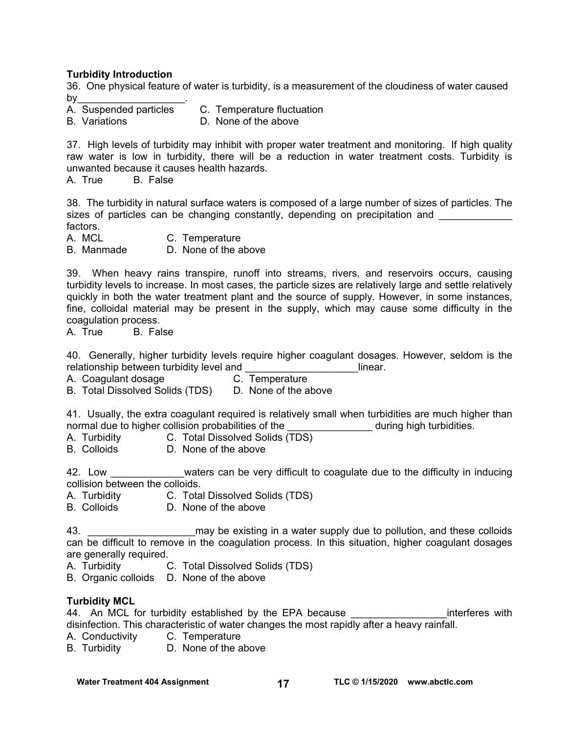#### **Turbidity Introduction**

36. One physical feature of water is turbidity, is a measurement of the cloudiness of water caused by $\overline{\phantom{a}}$ 

- A. Suspended particles C. Temperature fluctuation
- 
- B. Variations **D. None of the above**

37. High levels of turbidity may inhibit with proper water treatment and monitoring. If high quality raw water is low in turbidity, there will be a reduction in water treatment costs. Turbidity is unwanted because it causes health hazards.

A. True B. False

38. The turbidity in natural surface waters is composed of a large number of sizes of particles. The sizes of particles can be changing constantly, depending on precipitation and \_\_\_\_\_\_\_\_\_ factors.

A. MCL C. Temperature

B. Manmade D. None of the above

39. When heavy rains transpire, runoff into streams, rivers, and reservoirs occurs, causing turbidity levels to increase. In most cases, the particle sizes are relatively large and settle relatively quickly in both the water treatment plant and the source of supply. However, in some instances, fine, colloidal material may be present in the supply, which may cause some difficulty in the coagulation process.<br>A. True B. Fal

B. False

40. Generally, higher turbidity levels require higher coagulant dosages. However, seldom is the relationship between turbidity level and **Example 2018** 1 linear.

A. Coagulant dosage **C. Temperature** 

B. Total Dissolved Solids (TDS) D. None of the above

41. Usually, the extra coagulant required is relatively small when turbidities are much higher than normal due to higher collision probabilities of the \_\_\_\_\_\_\_\_\_\_\_\_\_\_\_\_\_\_\_\_ during high turbidities.

- A. Turbidity C. Total Dissolved Solids (TDS)
- B. Colloids D. None of the above

42. Low \_\_\_\_\_\_\_\_\_\_\_\_\_\_waters can be very difficult to coagulate due to the difficulty in inducing collision between the colloids.

- A. Turbidity C. Total Dissolved Solids (TDS)
- B. Colloids D. None of the above

43. **Example 20** may be existing in a water supply due to pollution, and these colloids can be difficult to remove in the coagulation process. In this situation, higher coagulant dosages are generally required.

- A. Turbidity C. Total Dissolved Solids (TDS)
- B. Organic colloids D. None of the above

### **Turbidity MCL**

44. An MCL for turbidity established by the EPA because The state of the interferes with disinfection. This characteristic of water changes the most rapidly after a heavy rainfall.

A. Conductivity C. Temperature

B. Turbidity D. None of the above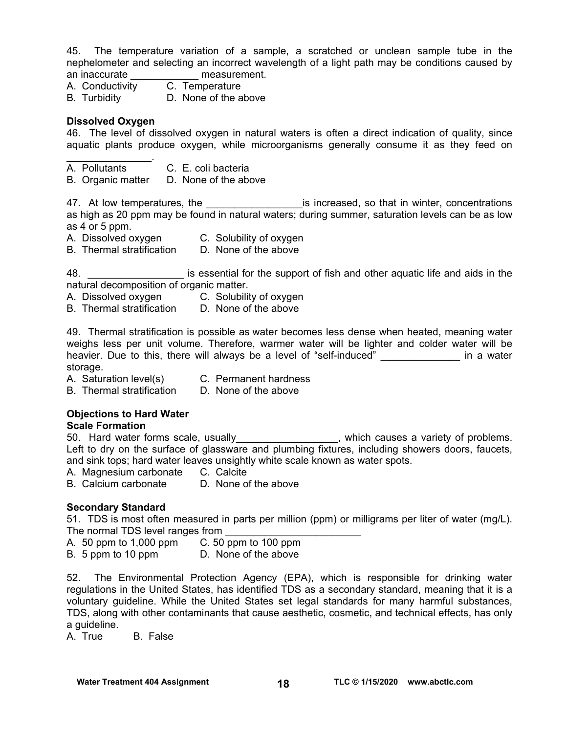45. The temperature variation of a sample, a scratched or unclean sample tube in the nephelometer and selecting an incorrect wavelength of a light path may be conditions caused by an inaccurate **and interest** measurement.

A. Conductivity C. Temperature

B. Turbidity D. None of the above

#### **Dissolved Oxygen**

46. The level of dissolved oxygen in natural waters is often a direct indication of quality, since aquatic plants produce oxygen, while microorganisms generally consume it as they feed on

- $\mathcal{L}_\text{max}$  and  $\mathcal{L}_\text{max}$ A. Pollutants C. E. coli bacteria
- B. Organic matter D. None of the above

47. At low temperatures, the the same is increased, so that in winter, concentrations as high as 20 ppm may be found in natural waters; during summer, saturation levels can be as low as 4 or 5 ppm.

- A. Dissolved oxygen C. Solubility of oxygen
- B. Thermal stratification D. None of the above

48. \_\_\_\_\_\_\_\_\_\_\_\_\_\_\_\_\_ is essential for the support of fish and other aquatic life and aids in the natural decomposition of organic matter.

- A. Dissolved oxygen C. Solubility of oxygen
- B. Thermal stratification D. None of the above

49. Thermal stratification is possible as water becomes less dense when heated, meaning water weighs less per unit volume. Therefore, warmer water will be lighter and colder water will be heavier. Due to this, there will always be a level of "self-induced" and the same in a water storage.

A. Saturation level(s) C. Permanent hardness

B. Thermal stratification D. None of the above

## **Objections to Hard Water**

**Scale Formation** 

Soute: Sundater.<br>50. Hard water forms scale, usually\_\_\_\_\_\_\_\_\_\_\_\_\_\_\_\_, which causes a variety of problems. Left to dry on the surface of glassware and plumbing fixtures, including showers doors, faucets, and sink tops; hard water leaves unsightly white scale known as water spots.

A. Magnesium carbonate C. Calcite

B. Calcium carbonate D. None of the above

### **Secondary Standard**

51. TDS is most often measured in parts per million (ppm) or milligrams per liter of water (mg/L). The normal TDS level ranges from

- A. 50 ppm to 1,000 ppm C. 50 ppm to 100 ppm
- B. 5 ppm to 10 ppm D. None of the above

52. The Environmental Protection Agency (EPA), which is responsible for drinking water regulations in the United States, has identified TDS as a secondary standard, meaning that it is a voluntary guideline. While the United States set legal standards for many harmful substances, TDS, along with other contaminants that cause aesthetic, cosmetic, and technical effects, has only a guideline.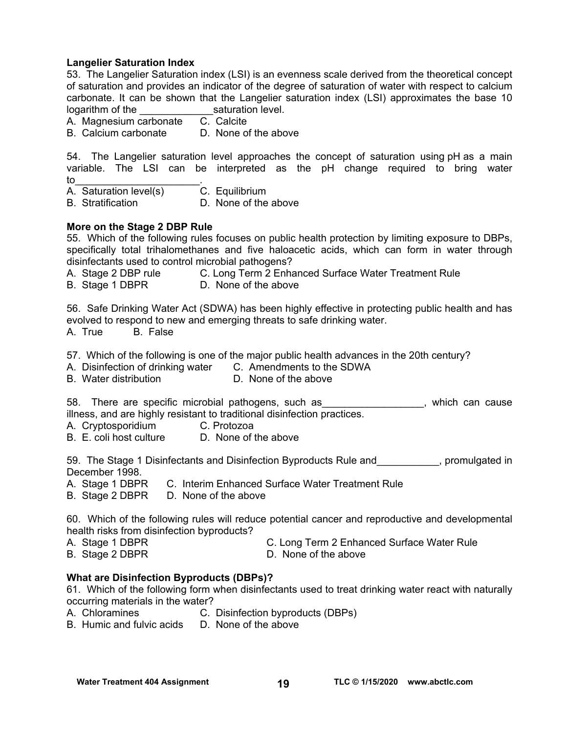#### **Langelier Saturation Index**

53. The Langelier Saturation index (LSI) is an evenness scale derived from the theoretical concept of saturation and provides an indicator of the degree of saturation of water with respect to calcium carbonate. It can be shown that the Langelier saturation index (LSI) approximates the base 10 logarithm of the \_\_\_\_\_\_\_\_\_\_\_\_\_saturation level. A. Magnesium carbonate C. Calcite B. Calcium carbonate D. None of the above 54. The Langelier saturation level approaches the concept of saturation using pH as a main variable. The LSI can be interpreted as the pH change required to bring water to the set of  $\sim$  . The set of  $\sim$   $\sim$ A. Saturation level(s) C. Equilibrium B. Stratification **D.** None of the above **More on the Stage 2 DBP Rule**  55. Which of the following rules focuses on public health protection by limiting exposure to DBPs, specifically total trihalomethanes and five haloacetic acids, which can form in water through disinfectants used to control microbial pathogens? A. Stage 2 DBP rule C. Long Term 2 Enhanced Surface Water Treatment Rule B. Stage 1 DBPR D. None of the above 56. Safe Drinking Water Act (SDWA) has been highly effective in protecting public health and has evolved to respond to new and emerging threats to safe drinking water. A. True B. False 57. Which of the following is one of the major public health advances in the 20th century? A. Disinfection of drinking water C. Amendments to the SDWA B. Water distribution D. None of the above 58. There are specific microbial pathogens, such as The manner which can cause illness, and are highly resistant to traditional disinfection practices. A. Cryptosporidium C. Protozoa B. E. coli host culture D. None of the above 59. The Stage 1 Disinfectants and Disinfection Byproducts Rule and \_\_\_\_\_\_\_\_\_, promulgated in December 1998. A. Stage 1 DBPR C. Interim Enhanced Surface Water Treatment Rule B. Stage 2 DBPR D. None of the above 60. Which of the following rules will reduce potential cancer and reproductive and developmental health risks from disinfection byproducts? A. Stage 1 DBPR C. Long Term 2 Enhanced Surface Water Rule B. Stage 2 DBPR D. None of the above **What are Disinfection Byproducts (DBPs)?**  61. Which of the following form when disinfectants used to treat drinking water react with naturally

occurring materials in the water?

- A. Chloramines C. Disinfection byproducts (DBPs)
- B. Humic and fulvic acids D. None of the above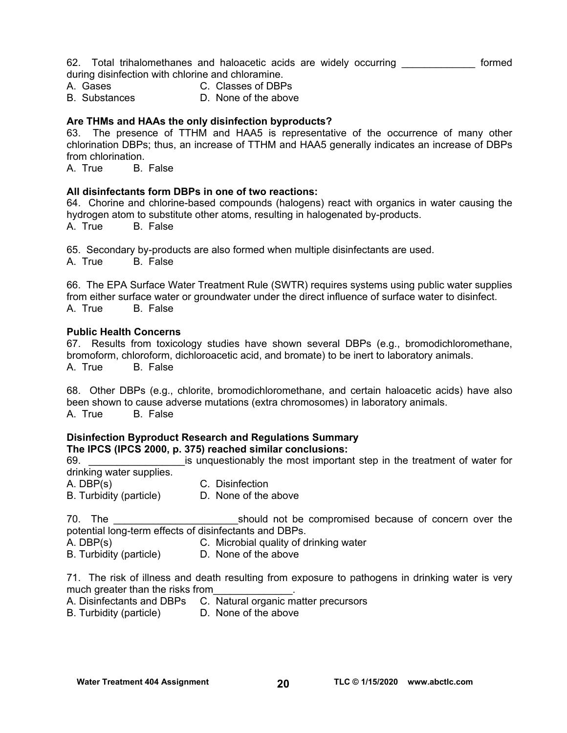62. Total trihalomethanes and haloacetic acids are widely occurring **cometal** formed during disinfection with chlorine and chloramine.

- A. Gases C. Classes of DBPs
- B. Substances D. None of the above

### **Are THMs and HAAs the only disinfection byproducts?**

63. The presence of TTHM and HAA5 is representative of the occurrence of many other chlorination DBPs; thus, an increase of TTHM and HAA5 generally indicates an increase of DBPs from chlorination.<br>A. True B.

**B.** False

#### **All disinfectants form DBPs in one of two reactions:**

64. Chorine and chlorine-based compounds (halogens) react with organics in water causing the hydrogen atom to substitute other atoms, resulting in halogenated by-products. A. True B. False

65. Secondary by-products are also formed when multiple disinfectants are used.

A. True B. False

66. The EPA Surface Water Treatment Rule (SWTR) requires systems using public water supplies from either surface water or groundwater under the direct influence of surface water to disinfect. A. True B. False

#### **Public Health Concerns**

67. Results from toxicology studies have shown several DBPs (e.g., bromodichloromethane, bromoform, chloroform, dichloroacetic acid, and bromate) to be inert to laboratory animals. A. True B. False

68. Other DBPs (e.g., chlorite, bromodichloromethane, and certain haloacetic acids) have also been shown to cause adverse mutations (extra chromosomes) in laboratory animals. A. True B. False

#### **Disinfection Byproduct Research and Regulations Summary The IPCS (IPCS 2000, p. 375) reached similar conclusions:**

69. **Example 1** and is unquestionably the most important step in the treatment of water for drinking water supplies. A. DBP(s) C. Disinfection B. Turbidity (particle) D. None of the above

70. The **The should not be compromised because of concern over the** potential long-term effects of disinfectants and DBPs.

- A. DBP(s) C. Microbial quality of drinking water
- B. Turbidity (particle) D. None of the above

71. The risk of illness and death resulting from exposure to pathogens in drinking water is very much greater than the risks from

A. Disinfectants and DBPs C. Natural organic matter precursors

B. Turbidity (particle) D. None of the above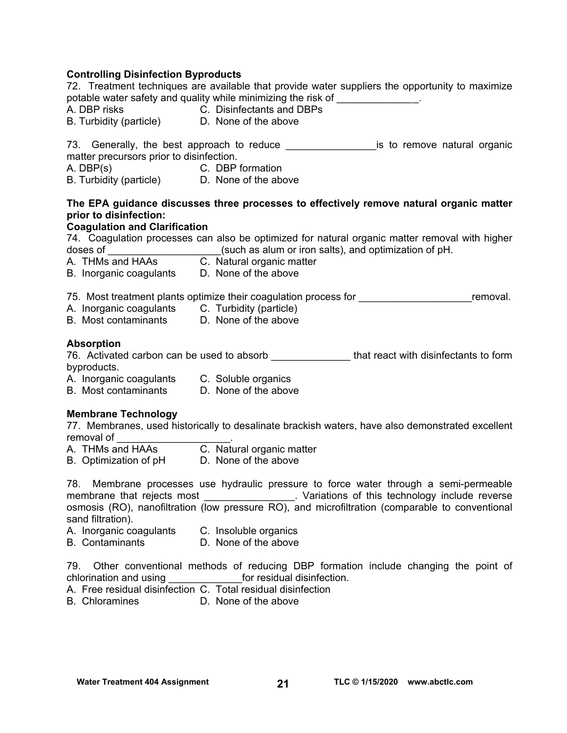### **Controlling Disinfection Byproducts**

72. Treatment techniques are available that provide water suppliers the opportunity to maximize potable water safety and quality while minimizing the risk of \_\_\_\_\_\_\_\_\_\_\_\_\_\_\_\_\_. A. DBP risks C. Disinfectants and DBPs B. Turbidity (particle) D. None of the above 73. Generally, the best approach to reduce \_\_\_\_\_\_\_\_\_\_\_\_\_\_\_\_\_\_\_\_\_is to remove natural organic matter precursors prior to disinfection.<br>A. DBP(s) C. DBP C. DBP formation B. Turbidity (particle) D. None of the above **The EPA guidance discusses three processes to effectively remove natural organic matter prior to disinfection: Coagulation and Clarification**  74. Coagulation processes can also be optimized for natural organic matter removal with higher doses of \_\_\_\_\_\_\_\_\_\_\_\_\_\_\_\_\_\_\_\_\_(such as alum or iron salts), and optimization of pH. A. THMs and HAAs **C.** Natural organic matter B. Inorganic coagulants D. None of the above 75. Most treatment plants optimize their coagulation process for \_\_\_\_\_\_\_\_\_\_\_\_\_\_\_\_\_\_\_\_\_\_\_\_\_\_\_removal. A. Inorganic coagulants C. Turbidity (particle) B. Most contaminants D. None of the above **Absorption**  76. Activated carbon can be used to absorb **that react with disinfectants to form** byproducts. A. Inorganic coagulants C. Soluble organics B. Most contaminants D. None of the above **Membrane Technology**  77. Membranes, used historically to desalinate brackish waters, have also demonstrated excellent removal of A. THMs and HAAs C. Natural organic matter B. Optimization of pH D. None of the above 78. Membrane processes use hydraulic pressure to force water through a semi-permeable membrane that rejects most example and the Variations of this technology include reverse osmosis (RO), nanofiltration (low pressure RO), and microfiltration (comparable to conventional sand filtration). A. Inorganic coagulants C. Insoluble organics B. Contaminants D. None of the above

79. Other conventional methods of reducing DBP formation include changing the point of chlorination and using example of residual disinfection.

- A. Free residual disinfection C. Total residual disinfection B. Chloramines D. None of the above
- D. None of the above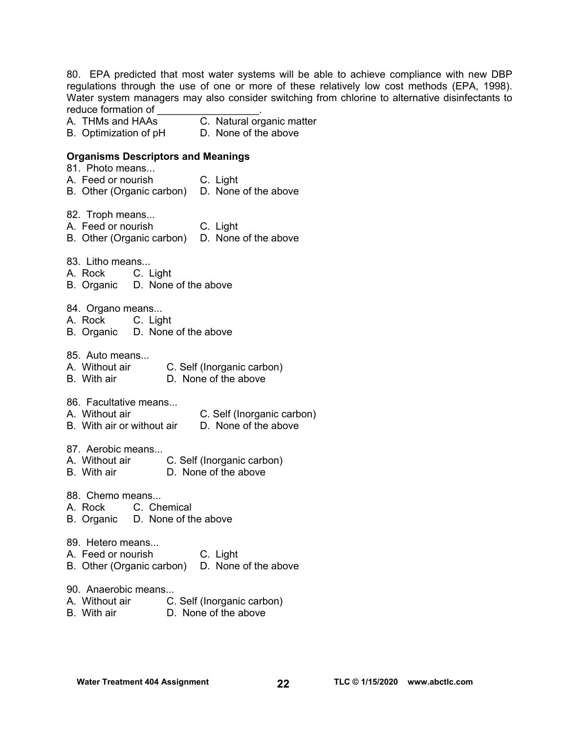80. EPA predicted that most water systems will be able to achieve compliance with new DBP regulations through the use of one or more of these relatively low cost methods (EPA, 1998). Water system managers may also consider switching from chlorine to alternative disinfectants to reduce formation of

- A. THMs and HAAs C. Natural organic matter
- B. Optimization of pH D. None of the above

#### **Organisms Descriptors and Meanings**

- 81. Photo means...
- A. Feed or nourish C. Light
- B. Other (Organic carbon) D. None of the above
- 82. Troph means...
- A. Feed or nourish C. Light
- B. Other (Organic carbon) D. None of the above
- 83. Litho means...
- A. Rock C. Light
- B. Organic D. None of the above
- 84. Organo means...
- A. Rock C. Light
- B. Organic D. None of the above
- 85. Auto means...
- A. Without air C. Self (Inorganic carbon)
- B. With air D. None of the above
- 86. Facultative means...
- A. Without air C. Self (Inorganic carbon)
- B. With air or without air D. None of the above

87. Aerobic means...

- A. Without air C. Self (Inorganic carbon)
- B. With air D. None of the above
- 88. Chemo means
- A. Rock C. Chemical
- B. Organic D. None of the above
- 89. Hetero means...
- A. Feed or nourish C. Light
- B. Other (Organic carbon) D. None of the above
- 90. Anaerobic means...
- A. Without air C. Self (Inorganic carbon)
- B. With air D. None of the above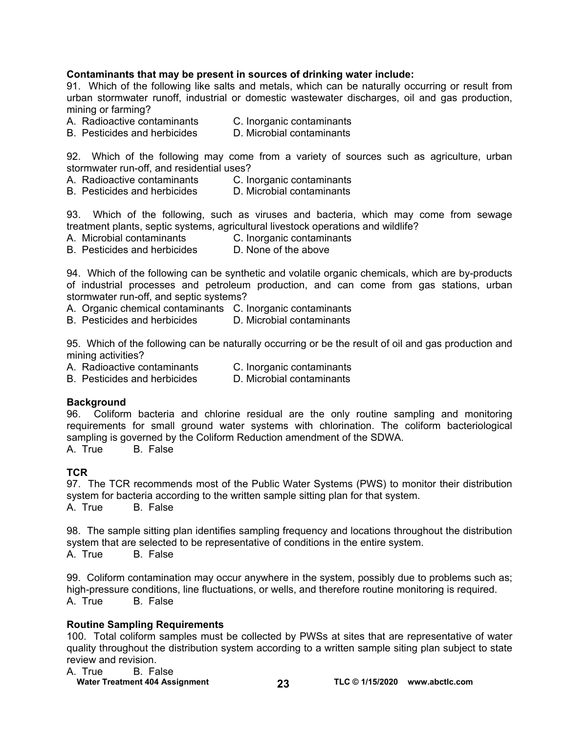### **Contaminants that may be present in sources of drinking water include:**

91. Which of the following like salts and metals, which can be naturally occurring or result from urban stormwater runoff, industrial or domestic wastewater discharges, oil and gas production, mining or farming?

- A. Radioactive contaminants C. Inorganic contaminants
- B. Pesticides and herbicides D. Microbial contaminants

92. Which of the following may come from a variety of sources such as agriculture, urban stormwater run-off, and residential uses?

- A. Radioactive contaminants C. Inorganic contaminants
- B. Pesticides and herbicides D. Microbial contaminants

93. Which of the following, such as viruses and bacteria, which may come from sewage treatment plants, septic systems, agricultural livestock operations and wildlife?

- A. Microbial contaminants C. Inorganic contaminants<br>B. Pesticides and herbicides D. None of the above
- B. Pesticides and herbicides

94. Which of the following can be synthetic and volatile organic chemicals, which are by-products of industrial processes and petroleum production, and can come from gas stations, urban stormwater run-off, and septic systems?

A. Organic chemical contaminants C. Inorganic contaminants

B. Pesticides and herbicides D. Microbial contaminants

95. Which of the following can be naturally occurring or be the result of oil and gas production and mining activities?

- A. Radioactive contaminants C. Inorganic contaminants
- B. Pesticides and herbicides D. Microbial contaminants

#### **Background**

96. Coliform bacteria and chlorine residual are the only routine sampling and monitoring requirements for small ground water systems with chlorination. The coliform bacteriological sampling is governed by the Coliform Reduction amendment of the SDWA.

A. True B. False

### **TCR**

97. The TCR recommends most of the Public Water Systems (PWS) to monitor their distribution system for bacteria according to the written sample sitting plan for that system. A. True B. False

98. The sample sitting plan identifies sampling frequency and locations throughout the distribution system that are selected to be representative of conditions in the entire system.

A. True B. False

99. Coliform contamination may occur anywhere in the system, possibly due to problems such as; high-pressure conditions, line fluctuations, or wells, and therefore routine monitoring is required.<br>A. True B. False **B.** False

#### **Routine Sampling Requirements**

100. Total coliform samples must be collected by PWSs at sites that are representative of water quality throughout the distribution system according to a written sample siting plan subject to state review and revision.

| A. True | B. False                              |    |                                  |
|---------|---------------------------------------|----|----------------------------------|
|         | <b>Water Treatment 404 Assignment</b> | 23 | TLC $@$ 1/15/2020 www.abctlc.com |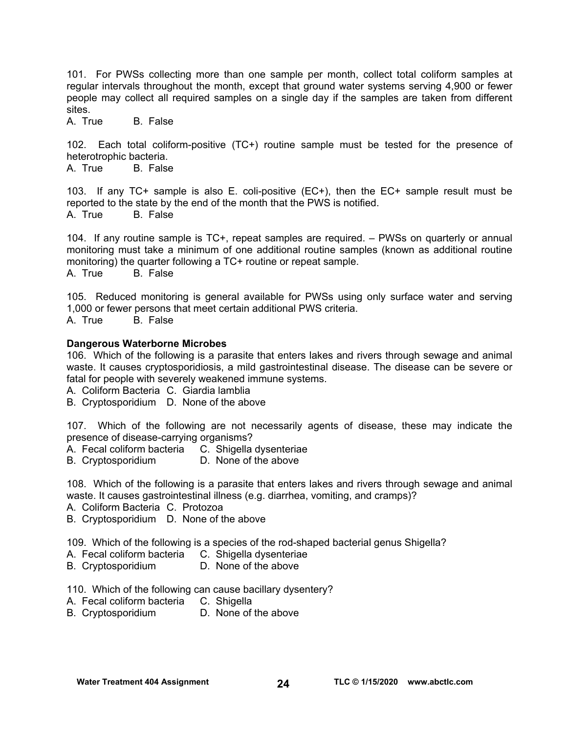101. For PWSs collecting more than one sample per month, collect total coliform samples at regular intervals throughout the month, except that ground water systems serving 4,900 or fewer people may collect all required samples on a single day if the samples are taken from different sites.

A. True B. False

102. Each total coliform-positive (TC+) routine sample must be tested for the presence of heterotrophic bacteria.<br>A. True B. False

B. False

103. If any TC+ sample is also E. coli-positive (EC+), then the EC+ sample result must be reported to the state by the end of the month that the PWS is notified. A. True B. False

104. If any routine sample is TC+, repeat samples are required. – PWSs on quarterly or annual monitoring must take a minimum of one additional routine samples (known as additional routine monitoring) the quarter following a TC+ routine or repeat sample. A. True B. False

105. Reduced monitoring is general available for PWSs using only surface water and serving 1,000 or fewer persons that meet certain additional PWS criteria. A. True B. False

#### **Dangerous Waterborne Microbes**

106. Which of the following is a parasite that enters lakes and rivers through sewage and animal waste. It causes cryptosporidiosis, a mild gastrointestinal disease. The disease can be severe or fatal for people with severely weakened immune systems.

A. Coliform Bacteria C. Giardia lamblia

B. Cryptosporidium D. None of the above

107. Which of the following are not necessarily agents of disease, these may indicate the presence of disease-carrying organisms?

A. Fecal coliform bacteria C. Shigella dysenteriae

B. Cryptosporidium D. None of the above

108. Which of the following is a parasite that enters lakes and rivers through sewage and animal waste. It causes gastrointestinal illness (e.g. diarrhea, vomiting, and cramps)?

- A. Coliform Bacteria C. Protozoa
- B. Cryptosporidium D. None of the above

109. Which of the following is a species of the rod-shaped bacterial genus Shigella?

- A. Fecal coliform bacteria C. Shigella dysenteriae
- B. Cryptosporidium D. None of the above

110. Which of the following can cause bacillary dysentery?

- A. Fecal coliform bacteria C. Shigella
- B. Cryptosporidium D. None of the above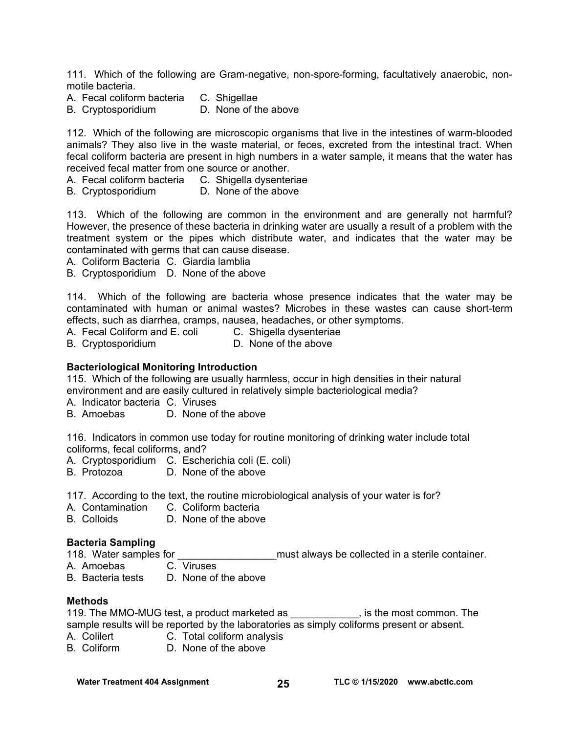111. Which of the following are Gram-negative, non-spore-forming, facultatively anaerobic, nonmotile bacteria.

- A. Fecal coliform bacteria C. Shigellae
- B. Cryptosporidium D. None of the above

112. Which of the following are microscopic organisms that live in the intestines of warm-blooded animals? They also live in the waste material, or feces, excreted from the intestinal tract. When fecal coliform bacteria are present in high numbers in a water sample, it means that the water has received fecal matter from one source or another.

A. Fecal coliform bacteria C. Shigella dysenteriae

B. Cryptosporidium D. None of the above

113. Which of the following are common in the environment and are generally not harmful? However, the presence of these bacteria in drinking water are usually a result of a problem with the treatment system or the pipes which distribute water, and indicates that the water may be contaminated with germs that can cause disease.

A. Coliform Bacteria C. Giardia lamblia

B. Cryptosporidium D. None of the above

114. Which of the following are bacteria whose presence indicates that the water may be contaminated with human or animal wastes? Microbes in these wastes can cause short-term effects, such as diarrhea, cramps, nausea, headaches, or other symptoms.<br>A. Fecal Coliform and E. coli C. Shigella dysenteriae

A. Fecal Coliform and E. coli C. Shigella dysenteria<br>B. Cryptosporidium C. None of the above

B. Cryptosporidium

#### **Bacteriological Monitoring Introduction**

115. Which of the following are usually harmless, occur in high densities in their natural environment and are easily cultured in relatively simple bacteriological media?

A. Indicator bacteria C. Viruses

B. Amoebas D. None of the above

116. Indicators in common use today for routine monitoring of drinking water include total coliforms, fecal coliforms, and?

A. Cryptosporidium C. Escherichia coli (E. coli)

B. Protozoa D. None of the above

117. According to the text, the routine microbiological analysis of your water is for?

A. Contamination C. Coliform bacteria<br>
B. Colloids B. None of the above

D. None of the above

#### **Bacteria Sampling**

118. Water samples for \_\_\_\_\_\_\_\_\_\_\_\_\_\_\_\_\_ must always be collected in a sterile container.

- A. Amoebas C. Viruses
- B. Bacteria tests D. None of the above

#### **Methods**

119. The MMO-MUG test, a product marketed as \_\_\_\_\_\_\_\_\_\_\_\_, is the most common. The sample results will be reported by the laboratories as simply coliforms present or absent.

A. Colilert **C. Total coliform analysis** 

B. Coliform D. None of the above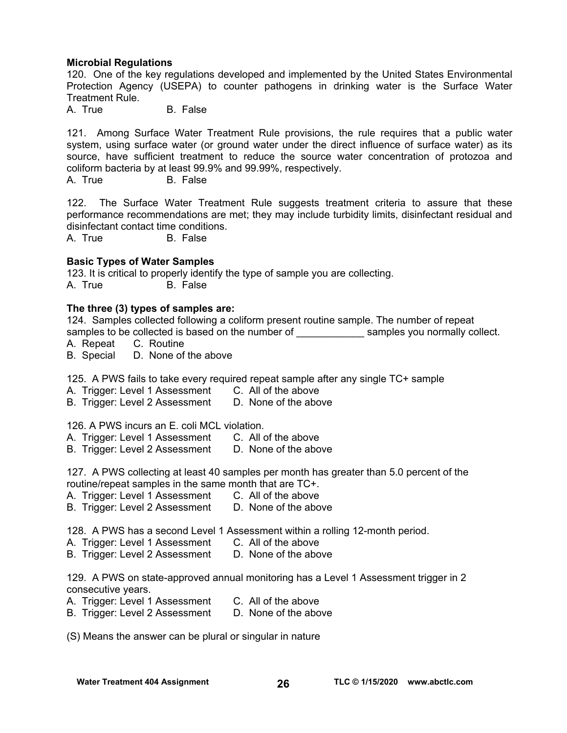#### **Microbial Regulations**

120. One of the key regulations developed and implemented by the United States Environmental Protection Agency (USEPA) to counter pathogens in drinking water is the Surface Water Treatment Rule.

A. True B. False

121. Among Surface Water Treatment Rule provisions, the rule requires that a public water system, using surface water (or ground water under the direct influence of surface water) as its source, have sufficient treatment to reduce the source water concentration of protozoa and coliform bacteria by at least 99.9% and 99.99%, respectively.

A. True B. False

122. The Surface Water Treatment Rule suggests treatment criteria to assure that these performance recommendations are met; they may include turbidity limits, disinfectant residual and disinfectant contact time conditions.

A. True B. False

### **Basic Types of Water Samples**

123. It is critical to properly identify the type of sample you are collecting. A. True B. False

#### **The three (3) types of samples are:**

124. Samples collected following a coliform present routine sample. The number of repeat samples to be collected is based on the number of examples you normally collect.

A. Repeat C. Routine

B. Special D. None of the above

125. A PWS fails to take every required repeat sample after any single TC+ sample

A. Trigger: Level 1 Assessment C. All of the above

B. Trigger: Level 2 Assessment D. None of the above

126. A PWS incurs an E. coli MCL violation.

A. Trigger: Level 1 Assessment C. All of the above

B. Trigger: Level 2 Assessment D. None of the above

127. A PWS collecting at least 40 samples per month has greater than 5.0 percent of the routine/repeat samples in the same month that are TC+.

- A. Trigger: Level 1 Assessment C. All of the above
- B. Trigger: Level 2 Assessment D. None of the above

128. A PWS has a second Level 1 Assessment within a rolling 12-month period.

- A. Trigger: Level 1 Assessment C. All of the above
- B. Trigger: Level 2 Assessment D. None of the above

129. A PWS on state-approved annual monitoring has a Level 1 Assessment trigger in 2 consecutive years.

- A. Trigger: Level 1 Assessment C. All of the above
- B. Trigger: Level 2 Assessment D. None of the above

(S) Means the answer can be plural or singular in nature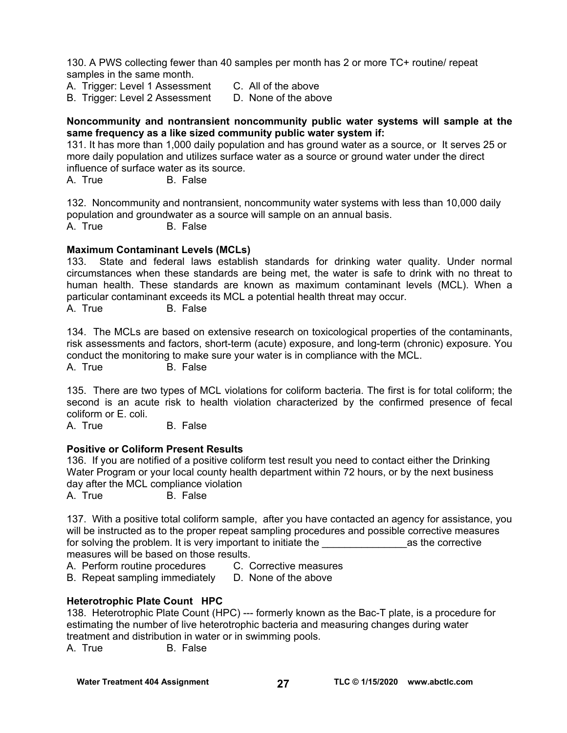130. A PWS collecting fewer than 40 samples per month has 2 or more TC+ routine/ repeat samples in the same month.

- A. Trigger: Level 1 Assessment C. All of the above
- B. Trigger: Level 2 Assessment D. None of the above

#### **Noncommunity and nontransient noncommunity public water systems will sample at the same frequency as a like sized community public water system if:**

131. It has more than 1,000 daily population and has ground water as a source, or It serves 25 or more daily population and utilizes surface water as a source or ground water under the direct influence of surface water as its source.

A. True B. False

132. Noncommunity and nontransient, noncommunity water systems with less than 10,000 daily population and groundwater as a source will sample on an annual basis. A. True B. False

#### **Maximum Contaminant Levels (MCLs)**

133. State and federal laws establish standards for drinking water quality. Under normal circumstances when these standards are being met, the water is safe to drink with no threat to human health. These standards are known as maximum contaminant levels (MCL). When a particular contaminant exceeds its MCL a potential health threat may occur. A. True B. False

134. The MCLs are based on extensive research on toxicological properties of the contaminants, risk assessments and factors, short-term (acute) exposure, and long-term (chronic) exposure. You conduct the monitoring to make sure your water is in compliance with the MCL.

A. True B. False

135. There are two types of MCL violations for coliform bacteria. The first is for total coliform; the second is an acute risk to health violation characterized by the confirmed presence of fecal coliform or E. coli.

A. True B. False

### **Positive or Coliform Present Results**

136. If you are notified of a positive coliform test result you need to contact either the Drinking Water Program or your local county health department within 72 hours, or by the next business day after the MCL compliance violation

A. True B. False

137. With a positive total coliform sample, after you have contacted an agency for assistance, you will be instructed as to the proper repeat sampling procedures and possible corrective measures for solving the problem. It is very important to initiate the **call and the conventive** measures will be based on those results.

A. Perform routine procedures C. Corrective measures

B. Repeat sampling immediately D. None of the above

### **Heterotrophic Plate Count HPC**

138. Heterotrophic Plate Count (HPC) --- formerly known as the Bac-T plate, is a procedure for estimating the number of live heterotrophic bacteria and measuring changes during water treatment and distribution in water or in swimming pools.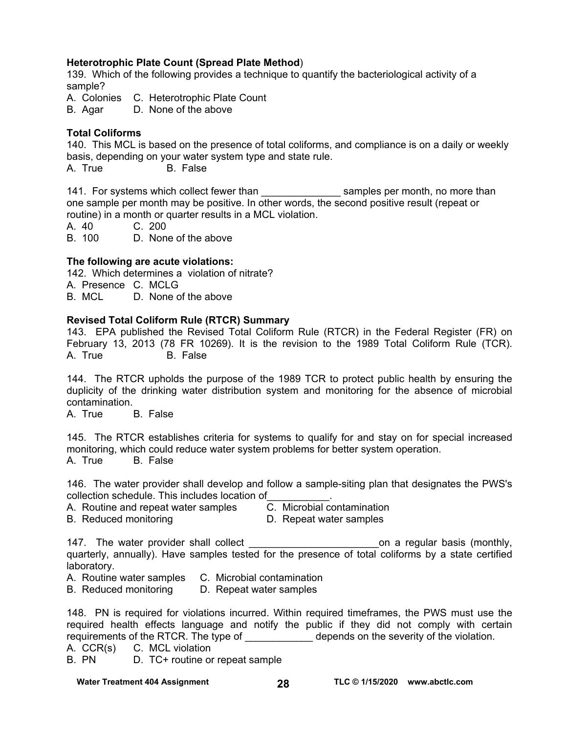### **Heterotrophic Plate Count (Spread Plate Method**)

139. Which of the following provides a technique to quantify the bacteriological activity of a sample?

A. Colonies C. Heterotrophic Plate Count

B. Agar D. None of the above

### **Total Coliforms**

140. This MCL is based on the presence of total coliforms, and compliance is on a daily or weekly basis, depending on your water system type and state rule.

A. True B. False

141. For systems which collect fewer than the samples per month, no more than one sample per month may be positive. In other words, the second positive result (repeat or routine) in a month or quarter results in a MCL violation.

A. 40 C. 200

B. 100 D. None of the above

### **The following are acute violations:**

142. Which determines a violation of nitrate?

A. Presence C. MCLG

B. MCL D. None of the above

### **Revised Total Coliform Rule (RTCR) Summary**

143. EPA published the Revised Total Coliform Rule (RTCR) in the Federal Register (FR) on February 13, 2013 (78 FR 10269). It is the revision to the 1989 Total Coliform Rule (TCR). A. True B. False

144. The RTCR upholds the purpose of the 1989 TCR to protect public health by ensuring the duplicity of the drinking water distribution system and monitoring for the absence of microbial contamination.

A. True B. False

145. The RTCR establishes criteria for systems to qualify for and stay on for special increased monitoring, which could reduce water system problems for better system operation. A. True B. False

146. The water provider shall develop and follow a sample-siting plan that designates the PWS's collection schedule. This includes location of\_\_\_\_\_\_\_\_\_\_\_.

- A. Routine and repeat water samples C. Microbial contamination
- B. Reduced monitoring **D. Repeat water samples**

147. The water provider shall collect the state of the control on a regular basis (monthly, quarterly, annually). Have samples tested for the presence of total coliforms by a state certified laboratory.

A. Routine water samples C. Microbial contamination

B. Reduced monitoring D. Repeat water samples

148. PN is required for violations incurred. Within required timeframes, the PWS must use the required health effects language and notify the public if they did not comply with certain requirements of the RTCR. The type of depends on the severity of the violation.

A. CCR(s) C. MCL violation

B. PN D. TC+ routine or repeat sample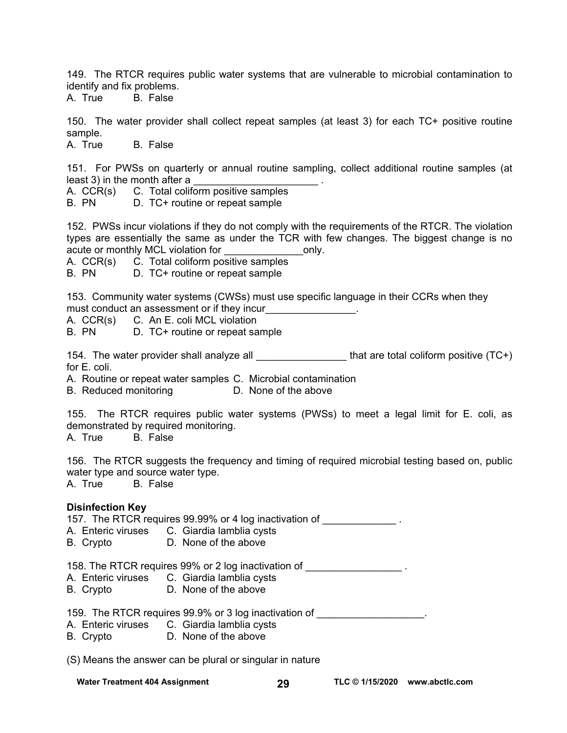149. The RTCR requires public water systems that are vulnerable to microbial contamination to identify and fix problems.

A. True B. False

150. The water provider shall collect repeat samples (at least 3) for each TC+ positive routine sample.

A. True B. False

151. For PWSs on quarterly or annual routine sampling, collect additional routine samples (at least 3) in the month after a  $\blacksquare$ 

A. CCR(s) C. Total coliform positive samples

B. PN D. TC+ routine or repeat sample

152. PWSs incur violations if they do not comply with the requirements of the RTCR. The violation types are essentially the same as under the TCR with few changes. The biggest change is no acute or monthly MCL violation for example only.

A. CCR(s) C. Total coliform positive samples

B. PN D. TC+ routine or repeat sample

153. Community water systems (CWSs) must use specific language in their CCRs when they must conduct an assessment or if they incur\_\_\_\_\_\_\_\_\_\_\_\_\_\_\_.

A. CCR(s) C. An E. coli MCL violation<br>R PN D. TC+ routine or repeat sar

D. TC+ routine or repeat sample

154. The water provider shall analyze all  $\qquad \qquad$  that are total coliform positive (TC+) for E. coli.

A. Routine or repeat water samples C. Microbial contamination

B. Reduced monitoring D. None of the above

155. The RTCR requires public water systems (PWSs) to meet a legal limit for E. coli, as demonstrated by required monitoring.

A. True B. False

156. The RTCR suggests the frequency and timing of required microbial testing based on, public water type and source water type. A. True B. False

#### **Disinfection Key**

157. The RTCR requires 99.99% or 4 log inactivation of A. Enteric viruses C. Giardia lamblia cysts

B. Crypto D. None of the above

158. The RTCR requires 99% or 2 log inactivation of \_\_\_\_\_\_\_\_\_\_\_\_\_\_\_\_\_\_\_\_\_.

- A. Enteric viruses C. Giardia lamblia cysts
- B. Crypto D. None of the above

159. The RTCR requires 99.9% or 3 log inactivation of

- A. Enteric viruses C. Giardia lamblia cysts
- B. Crypto D. None of the above

(S) Means the answer can be plural or singular in nature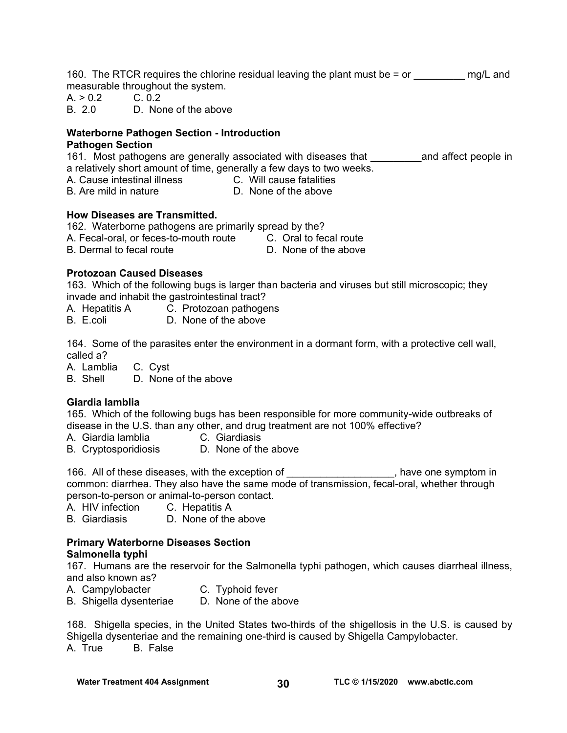160. The RTCR requires the chlorine residual leaving the plant must be  $=$  or  $\qquad \qquad$  mg/L and measurable throughout the system.

 $A. > 0.2$  C. 0.2

B. 2.0 D. None of the above

## **Waterborne Pathogen Section - Introduction**

### **Pathogen Section**

161. Most pathogens are generally associated with diseases that Theoral and affect people in a relatively short amount of time, generally a few days to two weeks.

A. Cause intestinal illness C. Will cause fatalities

B. Are mild in nature **D.** None of the above

### **How Diseases are Transmitted.**

162. Waterborne pathogens are primarily spread by the? A. Fecal-oral, or feces-to-mouth route C. Oral to fecal route B. Dermal to fecal route **D. None of the above** 

### **Protozoan Caused Diseases**

163. Which of the following bugs is larger than bacteria and viruses but still microscopic; they invade and inhabit the gastrointestinal tract?

A. Hepatitis A C. Protozoan pathogens

B. E.coli D. None of the above

164. Some of the parasites enter the environment in a dormant form, with a protective cell wall, called a?

A. Lamblia C. Cyst

B. Shell D. None of the above

### **Giardia lamblia**

165. Which of the following bugs has been responsible for more community-wide outbreaks of disease in the U.S. than any other, and drug treatment are not 100% effective?

A. Giardia lamblia C. Giardiasis

B. Cryptosporidiosis D. None of the above

166. All of these diseases, with the exception of \_\_\_\_\_\_\_\_\_\_\_\_\_\_\_\_\_\_\_, have one symptom in common: diarrhea. They also have the same mode of transmission, fecal-oral, whether through person-to-person or animal-to-person contact.

A. HIV infection C. Hepatitis A

B. Giardiasis D. None of the above

#### **Primary Waterborne Diseases Section Salmonella typhi**

167. Humans are the reservoir for the Salmonella typhi pathogen, which causes diarrheal illness, and also known as?

- A. Campylobacter **C. Typhoid fever**
- B. Shigella dysenteriae D. None of the above

168. Shigella species, in the United States two-thirds of the shigellosis in the U.S. is caused by Shigella dysenteriae and the remaining one-third is caused by Shigella Campylobacter. A. True B. False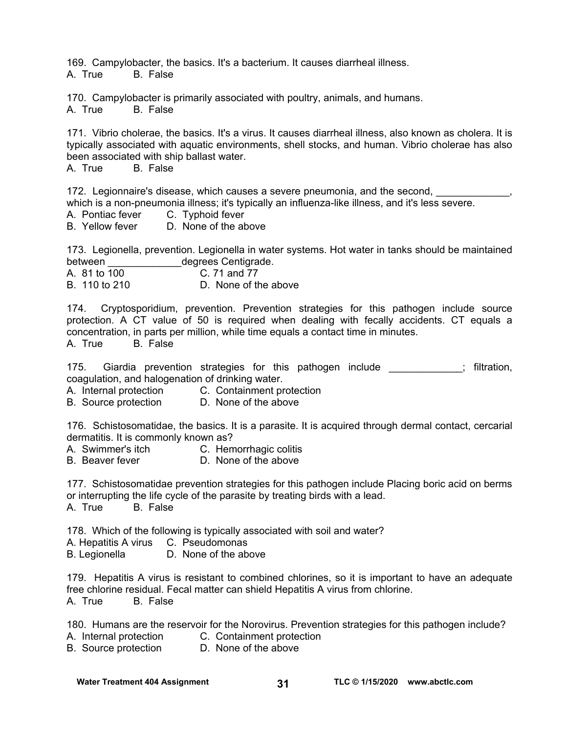169. Campylobacter, the basics. It's a bacterium. It causes diarrheal illness. A. True B. False

170. Campylobacter is primarily associated with poultry, animals, and humans. A. True B. False

171. Vibrio cholerae, the basics. It's a virus. It causes diarrheal illness, also known as cholera. It is typically associated with aquatic environments, shell stocks, and human. Vibrio cholerae has also been associated with ship ballast water.<br>A. True B. False

**B.** False

172. Legionnaire's disease, which causes a severe pneumonia, and the second, which is a non-pneumonia illness; it's typically an influenza-like illness, and it's less severe.

- A. Pontiac fever C. Typhoid fever
- B. Yellow fever D. None of the above

173. Legionella, prevention. Legionella in water systems. Hot water in tanks should be maintained between degrees Centigrade.

A. 81 to 100 C. 71 and 77

B. 110 to 210 D. None of the above

174. Cryptosporidium, prevention. Prevention strategies for this pathogen include source protection. A CT value of 50 is required when dealing with fecally accidents. CT equals a concentration, in parts per million, while time equals a contact time in minutes.<br>A True B False

A. True

175. Giardia prevention strategies for this pathogen include  $\blacksquare$ ; filtration, coagulation, and halogenation of drinking water.

A. Internal protection C. Containment protection<br>B. Source protection D. None of the above

B. Source protection

176. Schistosomatidae, the basics. It is a parasite. It is acquired through dermal contact, cercarial dermatitis. It is commonly known as?

- A. Swimmer's itch C. Hemorrhagic colitis
- B. Beaver fever D. None of the above

177. Schistosomatidae prevention strategies for this pathogen include Placing boric acid on berms or interrupting the life cycle of the parasite by treating birds with a lead.

A. True B. False

178. Which of the following is typically associated with soil and water?

A. Hepatitis A virus C. Pseudomonas

B. Legionella D. None of the above

179. Hepatitis A virus is resistant to combined chlorines, so it is important to have an adequate free chlorine residual. Fecal matter can shield Hepatitis A virus from chlorine.

A. True B. False

180. Humans are the reservoir for the Norovirus. Prevention strategies for this pathogen include?

A. Internal protection C. Containment protection

B. Source protection D. None of the above

Water Treatment 404 Assignment **TLC © 1/15/2020** www.abctlc.com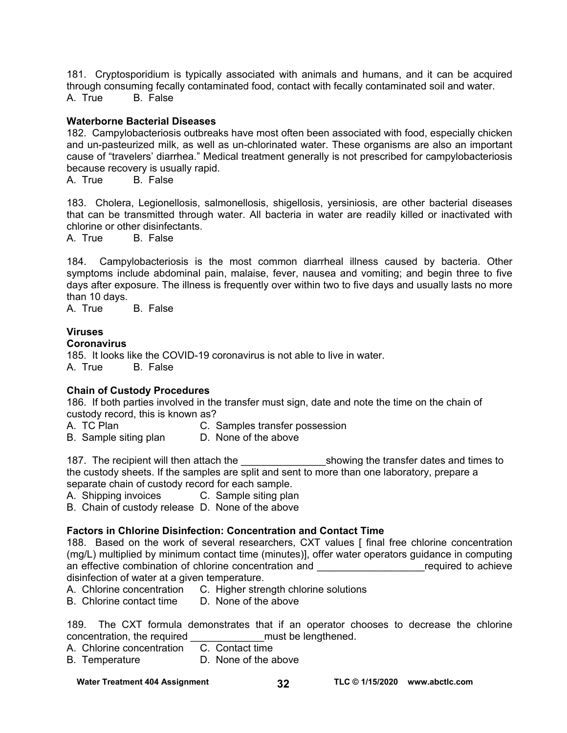181. Cryptosporidium is typically associated with animals and humans, and it can be acquired through consuming fecally contaminated food, contact with fecally contaminated soil and water. A. True B. False

#### **Waterborne Bacterial Diseases**

182. Campylobacteriosis outbreaks have most often been associated with food, especially chicken and un-pasteurized milk, as well as un-chlorinated water. These organisms are also an important cause of "travelers' diarrhea." Medical treatment generally is not prescribed for campylobacteriosis because recovery is usually rapid.

A. True B. False

183. Cholera, Legionellosis, salmonellosis, shigellosis, yersiniosis, are other bacterial diseases that can be transmitted through water. All bacteria in water are readily killed or inactivated with chlorine or other disinfectants.

A. True B. False

184. Campylobacteriosis is the most common diarrheal illness caused by bacteria. Other symptoms include abdominal pain, malaise, fever, nausea and vomiting; and begin three to five days after exposure. The illness is frequently over within two to five days and usually lasts no more than 10 days.

A. True B. False

### **Viruses**

### **Coronavirus**

185. It looks like the COVID-19 coronavirus is not able to live in water. A. True B. False

### **Chain of Custody Procedures**

186. If both parties involved in the transfer must sign, date and note the time on the chain of custody record, this is known as?

- A. TC Plan C. Samples transfer possession
- B. Sample siting plan D. None of the above

187. The recipient will then attach the transfer dates and times to the custody sheets. If the samples are split and sent to more than one laboratory, prepare a separate chain of custody record for each sample.

A. Shipping invoices C. Sample siting plan

B. Chain of custody release D. None of the above

#### **Factors in Chlorine Disinfection: Concentration and Contact Time**

188. Based on the work of several researchers, CXT values [ final free chlorine concentration (mg/L) multiplied by minimum contact time (minutes)], offer water operators guidance in computing an effective combination of chlorine concentration and **Example 20** are required to achieve disinfection of water at a given temperature.

A. Chlorine concentration C. Higher strength chlorine solutions<br>B. Chlorine contact time D. None of the above

B. Chlorine contact time

189. The CXT formula demonstrates that if an operator chooses to decrease the chlorine concentration, the required example and the lengthened.

A. Chlorine concentration C. Contact time

B. Temperature D. None of the above

Water Treatment 404 Assignment **TLC © 1/15/2020** www.abctlc.com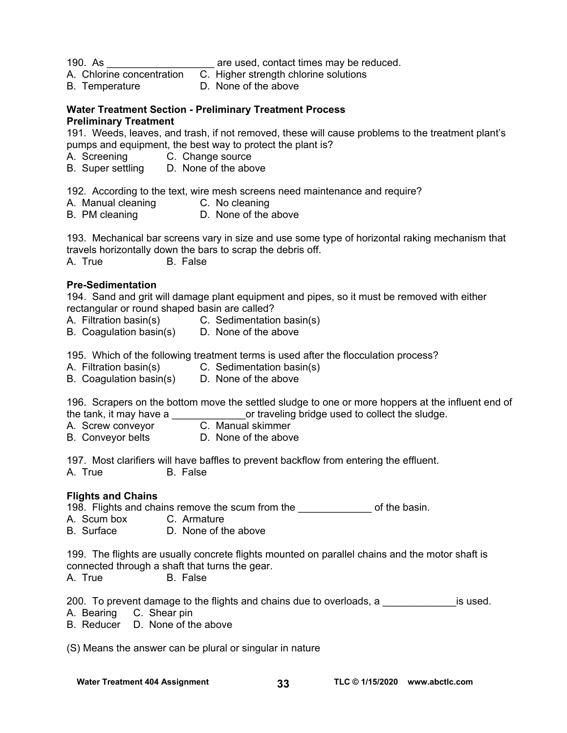190. As **are used, contact times may be reduced.** 

- A. Chlorine concentration C. Higher strength chlorine solutions
- B. Temperature D. None of the above

### **Water Treatment Section - Preliminary Treatment Process Preliminary Treatment**

191. Weeds, leaves, and trash, if not removed, these will cause problems to the treatment plant's pumps and equipment, the best way to protect the plant is?

- A. Screening C. Change source<br>B. Super settling D. None of the abc
- D. None of the above

192. According to the text, wire mesh screens need maintenance and require?

- A. Manual cleaning C. No cleaning
- B. PM cleaning D. None of the above

193. Mechanical bar screens vary in size and use some type of horizontal raking mechanism that travels horizontally down the bars to scrap the debris off.

A. True B. False

### **Pre-Sedimentation**

194. Sand and grit will damage plant equipment and pipes, so it must be removed with either rectangular or round shaped basin are called?

- A. Filtration basin(s) C. Sedimentation basin(s)
- B. Coagulation  $basin(s)$  D. None of the above

195. Which of the following treatment terms is used after the flocculation process?

- A. Filtration basin(s) C. Sedimentation basin(s)
- B. Coagulation basin(s) D. None of the above

196. Scrapers on the bottom move the settled sludge to one or more hoppers at the influent end of the tank, it may have a  $\frac{1}{C}$  Manual skimmer<br>A. Screw convevor  $\frac{1}{C}$ . Manual skimmer

- A. Screw conveyor
- B. Conveyor belts **D.** None of the above

197. Most clarifiers will have baffles to prevent backflow from entering the effluent. A. True B. False

#### **Flights and Chains**

198. Flights and chains remove the scum from the \_\_\_\_\_\_\_\_\_\_\_\_\_\_\_ of the basin.

- A. Scum box C. Armature
- B. Surface D. None of the above

199. The flights are usually concrete flights mounted on parallel chains and the motor shaft is connected through a shaft that turns the gear.

A. True B. False

200. To prevent damage to the flights and chains due to overloads, a zeroto is used.

- A. Bearing C. Shear pin
- B. Reducer D. None of the above

(S) Means the answer can be plural or singular in nature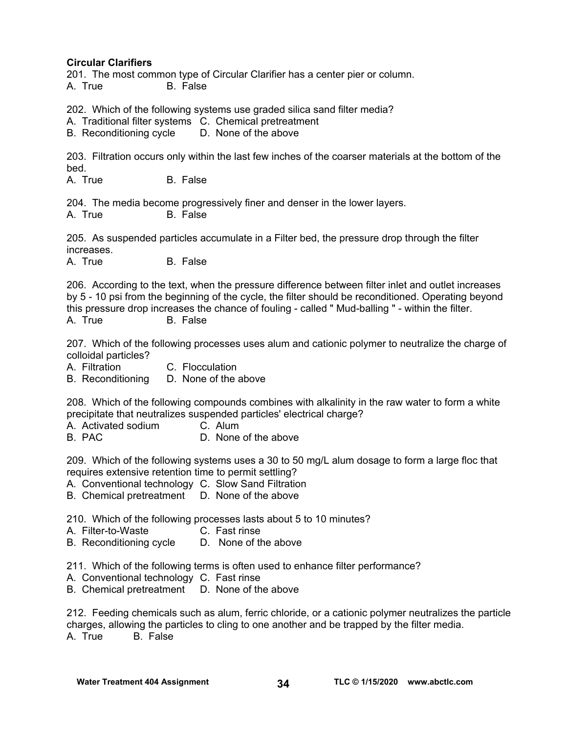### **Circular Clarifiers**

201. The most common type of Circular Clarifier has a center pier or column. A. True B. False

202. Which of the following systems use graded silica sand filter media?

A. Traditional filter systems C. Chemical pretreatment

B. Reconditioning cycle D. None of the above

203. Filtration occurs only within the last few inches of the coarser materials at the bottom of the bed.

A. True B. False

204. The media become progressively finer and denser in the lower layers. A. True B. False

205. As suspended particles accumulate in a Filter bed, the pressure drop through the filter increases.

A. True B. False

206. According to the text, when the pressure difference between filter inlet and outlet increases by 5 - 10 psi from the beginning of the cycle, the filter should be reconditioned. Operating beyond this pressure drop increases the chance of fouling - called " Mud-balling " - within the filter. A. True B. False

207. Which of the following processes uses alum and cationic polymer to neutralize the charge of colloidal particles?

A. Filtration C. Flocculation

B. Reconditioning D. None of the above

208. Which of the following compounds combines with alkalinity in the raw water to form a white precipitate that neutralizes suspended particles' electrical charge?

A. Activated sodium C. Alum

B. PAC D. None of the above

209. Which of the following systems uses a 30 to 50 mg/L alum dosage to form a large floc that requires extensive retention time to permit settling?

A. Conventional technology C. Slow Sand Filtration

B. Chemical pretreatment D. None of the above

210. Which of the following processes lasts about 5 to 10 minutes?

A. Filter-to-Waste C. Fast rinse

B. Reconditioning cycle D. None of the above

211. Which of the following terms is often used to enhance filter performance?

A. Conventional technology C. Fast rinse

B. Chemical pretreatment D. None of the above

212. Feeding chemicals such as alum, ferric chloride, or a cationic polymer neutralizes the particle charges, allowing the particles to cling to one another and be trapped by the filter media. A. True B. False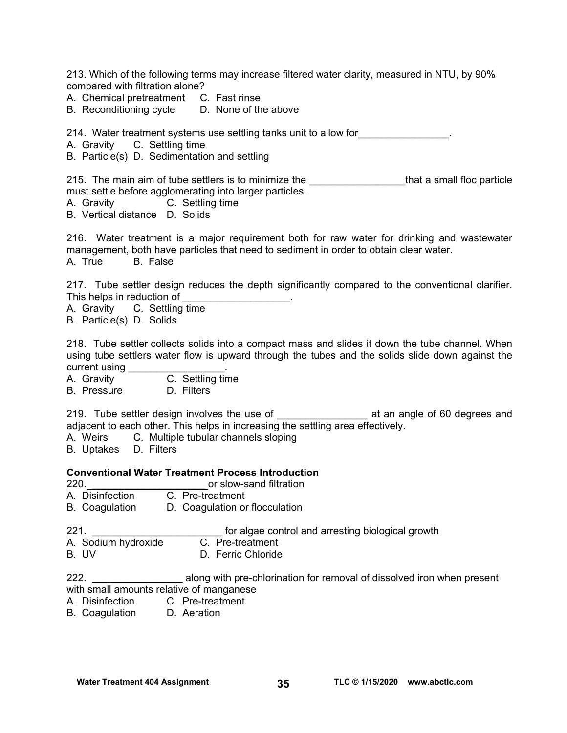213. Which of the following terms may increase filtered water clarity, measured in NTU, by 90% compared with filtration alone?

A. Chemical pretreatment C. Fast rinse

B. Reconditioning cycle D. None of the above

214. Water treatment systems use settling tanks unit to allow for\_\_\_\_\_\_\_\_\_\_\_\_\_\_\_\_.

A. Gravity C. Settling time

B. Particle(s) D. Sedimentation and settling

215. The main aim of tube settlers is to minimize the **constand the manual that a small floc particle** must settle before agglomerating into larger particles.

A. Gravity C. Settling time

B. Vertical distance D. Solids

216. Water treatment is a major requirement both for raw water for drinking and wastewater management, both have particles that need to sediment in order to obtain clear water. A. True B. False

217. Tube settler design reduces the depth significantly compared to the conventional clarifier. This helps in reduction of

A. Gravity C. Settling time

B. Particle(s) D. Solids

218. Tube settler collects solids into a compact mass and slides it down the tube channel. When using tube settlers water flow is upward through the tubes and the solids slide down against the current using \_\_\_\_\_\_\_\_

A. Gravity C. Settling time

B. Pressure D. Filters

219. Tube settler design involves the use of \_\_\_\_\_\_\_\_\_\_\_\_\_\_\_\_\_\_\_\_\_\_\_\_ at an angle of 60 degrees and adjacent to each other. This helps in increasing the settling area effectively.

A. Weirs C. Multiple tubular channels sloping

B. Uptakes D. Filters

#### **Conventional Water Treatment Process Introduction**

- 220. **Example 220. 220. CONFIDENT CONSUMINGLY** or slow-sand filtration
- A. Disinfection C. Pre-treatment
- B. Coagulation D. Coagulation or flocculation

221. **Example 221. 221. Example 221. https://growth** for algae control and arresting biological growth A. Sodium hydroxide C. Pre-treatment

B. UV D. Ferric Chloride

222. **\_\_\_\_\_\_\_\_\_\_\_\_\_\_** along with pre-chlorination for removal of dissolved iron when present with small amounts relative of manganese

- A. Disinfection C. Pre-treatment
- B. Coagulation D. Aeration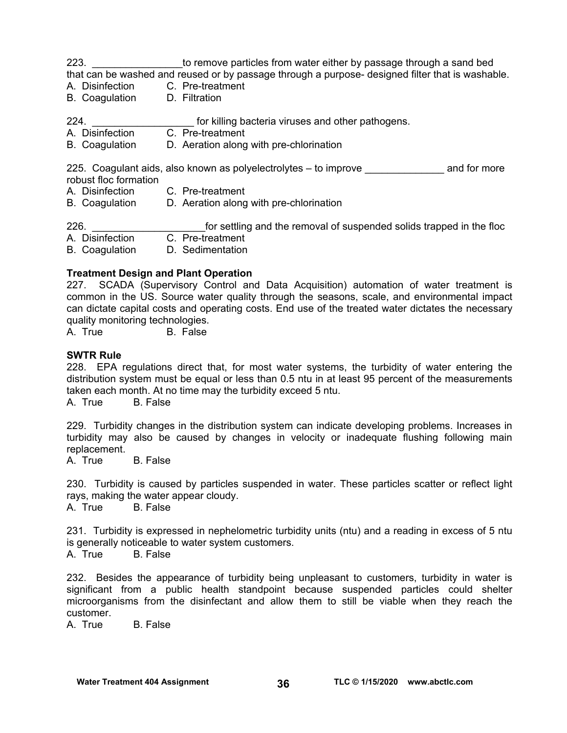223. \_\_\_\_\_\_\_\_\_\_\_\_\_\_\_\_to remove particles from water either by passage through a sand bed that can be washed and reused or by passage through a purpose- designed filter that is washable.

- A. Disinfection C. Pre-treatment
- B. Coagulation D. Filtration
- 224. **Example 224. Example 224. https://register.org/contract/inducered-** for killing bacteria viruses and other pathogens.
- A. Disinfection C. Pre-treatment
- B. Coagulation D. Aeration along with pre-chlorination

225. Coagulant aids, also known as polyelectrolytes – to improve entity and for more robust floc formation

- A. Disinfection C. Pre-treatment
- B. Coagulation D. Aeration along with pre-chlorination

226.  $\frac{1}{226}$  for settling and the removal of suspended solids trapped in the floc<br>A Disinfection C. Pre-treatment C. Pre-treatment B. Coagulation D. Sedimentation

#### **Treatment Design and Plant Operation**

227. SCADA (Supervisory Control and Data Acquisition) automation of water treatment is common in the US. Source water quality through the seasons, scale, and environmental impact can dictate capital costs and operating costs. End use of the treated water dictates the necessary quality monitoring technologies.<br>A. True B. False

B. False

#### **SWTR Rule**

228. EPA regulations direct that, for most water systems, the turbidity of water entering the distribution system must be equal or less than 0.5 ntu in at least 95 percent of the measurements taken each month. At no time may the turbidity exceed 5 ntu.

A. True B. False

229. Turbidity changes in the distribution system can indicate developing problems. Increases in turbidity may also be caused by changes in velocity or inadequate flushing following main replacement.

A. True B. False

230. Turbidity is caused by particles suspended in water. These particles scatter or reflect light rays, making the water appear cloudy.

A. True B. False

231. Turbidity is expressed in nephelometric turbidity units (ntu) and a reading in excess of 5 ntu is generally noticeable to water system customers.

A. True B. False

232. Besides the appearance of turbidity being unpleasant to customers, turbidity in water is significant from a public health standpoint because suspended particles could shelter microorganisms from the disinfectant and allow them to still be viable when they reach the customer.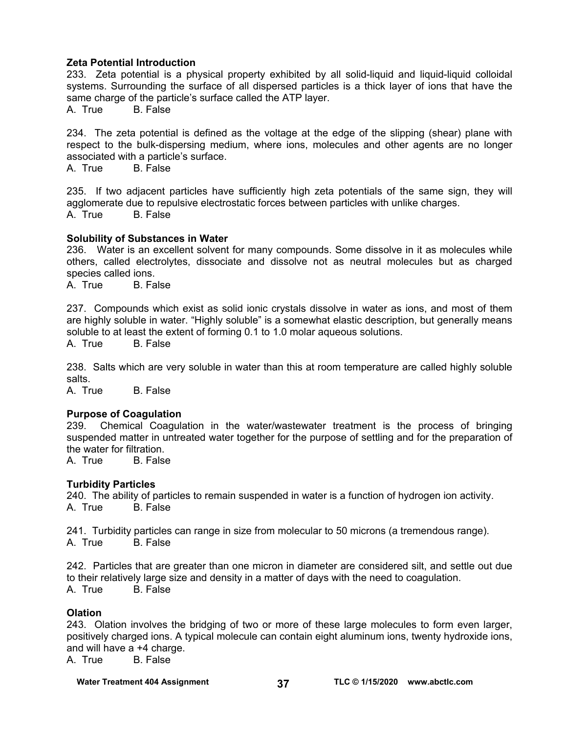#### **Zeta Potential Introduction**

233. Zeta potential is a physical property exhibited by all solid-liquid and liquid-liquid colloidal systems. Surrounding the surface of all dispersed particles is a thick layer of ions that have the same charge of the particle's surface called the ATP layer.

A. True B. False

234. The zeta potential is defined as the voltage at the edge of the slipping (shear) plane with respect to the bulk-dispersing medium, where ions, molecules and other agents are no longer associated with a particle's surface.<br>A. True B. False

**B.** False

235. If two adjacent particles have sufficiently high zeta potentials of the same sign, they will agglomerate due to repulsive electrostatic forces between particles with unlike charges. A. True B. False

#### **Solubility of Substances in Water**

236. Water is an excellent solvent for many compounds. Some dissolve in it as molecules while others, called electrolytes, dissociate and dissolve not as neutral molecules but as charged species called ions.

A. True B. False

237. Compounds which exist as solid ionic crystals dissolve in water as ions, and most of them are highly soluble in water. "Highly soluble" is a somewhat elastic description, but generally means soluble to at least the extent of forming 0.1 to 1.0 molar aqueous solutions.

A. True B. False

238. Salts which are very soluble in water than this at room temperature are called highly soluble salts.

A. True B. False

#### **Purpose of Coagulation**

239. Chemical Coagulation in the water/wastewater treatment is the process of bringing suspended matter in untreated water together for the purpose of settling and for the preparation of the water for filtration.

A. True B. False

### **Turbidity Particles**

240. The ability of particles to remain suspended in water is a function of hydrogen ion activity. A. True B. False

241. Turbidity particles can range in size from molecular to 50 microns (a tremendous range). A. True B. False

242. Particles that are greater than one micron in diameter are considered silt, and settle out due to their relatively large size and density in a matter of days with the need to coagulation. A. True B. False

#### **Olation**

243. Olation involves the bridging of two or more of these large molecules to form even larger, positively charged ions. A typical molecule can contain eight aluminum ions, twenty hydroxide ions, and will have a +4 charge.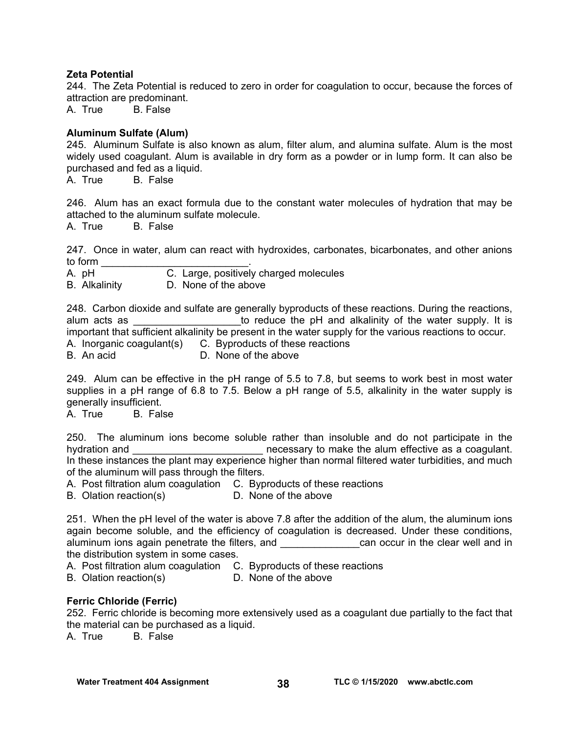### **Zeta Potential**

244. The Zeta Potential is reduced to zero in order for coagulation to occur, because the forces of attraction are predominant.

A. True B. False

### **Aluminum Sulfate (Alum)**

245. Aluminum Sulfate is also known as alum, filter alum, and alumina sulfate. Alum is the most widely used coagulant. Alum is available in dry form as a powder or in lump form. It can also be purchased and fed as a liquid.

A. True B. False

246. Alum has an exact formula due to the constant water molecules of hydration that may be attached to the aluminum sulfate molecule.

A. True B. False

247. Once in water, alum can react with hydroxides, carbonates, bicarbonates, and other anions to form  $\Box$ 

A. pH C. Large, positively charged molecules

B. Alkalinity D. None of the above

248. Carbon dioxide and sulfate are generally byproducts of these reactions. During the reactions, alum acts as **Exercice** 2 alum acts as **allum** acts as the pH and alkalinity of the water supply. It is important that sufficient alkalinity be present in the water supply for the various reactions to occur. A. Inorganic coagulant(s) C. Byproducts of these reactions

B. An acid D. None of the above

249. Alum can be effective in the pH range of 5.5 to 7.8, but seems to work best in most water supplies in a pH range of 6.8 to 7.5. Below a pH range of 5.5, alkalinity in the water supply is generally insufficient.

A. True B. False

250. The aluminum ions become soluble rather than insoluble and do not participate in the hydration and \_\_\_\_\_\_\_\_\_\_\_\_\_\_\_\_\_\_\_\_\_\_\_\_\_\_\_\_\_\_ necessary to make the alum effective as a coagulant. In these instances the plant may experience higher than normal filtered water turbidities, and much of the aluminum will pass through the filters.

A. Post filtration alum coagulation C. Byproducts of these reactions

B. Olation reaction(s) D. None of the above

251. When the pH level of the water is above 7.8 after the addition of the alum, the aluminum ions again become soluble, and the efficiency of coagulation is decreased. Under these conditions, aluminum ions again penetrate the filters, and \_\_\_\_\_\_\_\_\_\_\_\_\_\_can occur in the clear well and in the distribution system in some cases.

A. Post filtration alum coagulation C. Byproducts of these reactions

B. Olation reaction(s) D. None of the above

### **Ferric Chloride (Ferric)**

252. Ferric chloride is becoming more extensively used as a coagulant due partially to the fact that the material can be purchased as a liquid.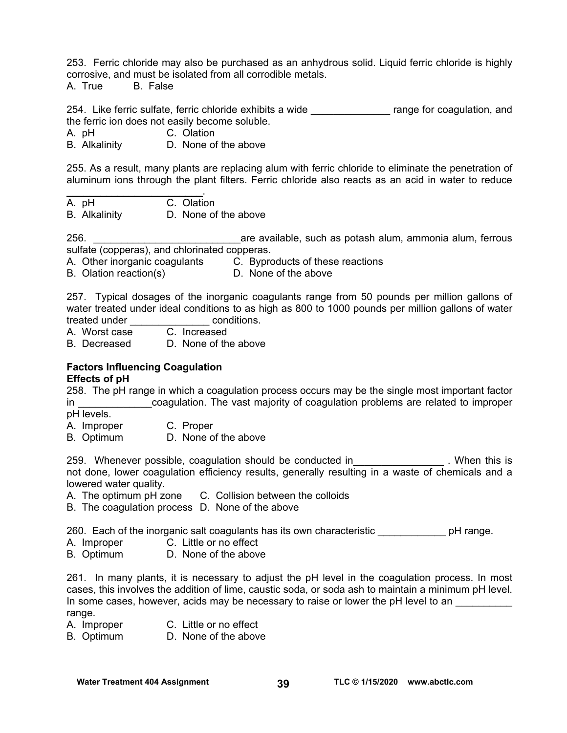253. Ferric chloride may also be purchased as an anhydrous solid. Liquid ferric chloride is highly corrosive, and must be isolated from all corrodible metals.

A. True B. False

254. Like ferric sulfate, ferric chloride exhibits a wide \_\_\_\_\_\_\_\_\_\_\_\_\_\_\_\_\_ range for coagulation, and the ferric ion does not easily become soluble.

A. pH C. Olation

B. Alkalinity D. None of the above

255. As a result, many plants are replacing alum with ferric chloride to eliminate the penetration of aluminum ions through the plant filters. Ferric chloride also reacts as an acid in water to reduce

 $\mathcal{L}_\text{max}$  and  $\mathcal{L}_\text{max}$  and  $\mathcal{L}_\text{max}$ A. pH C. Olation

B. Alkalinity D. None of the above

256. \_\_\_\_\_\_\_\_\_\_\_\_\_\_\_\_\_\_\_\_\_\_\_\_\_\_are available, such as potash alum, ammonia alum, ferrous sulfate (copperas), and chlorinated copperas.

A. Other inorganic coagulants C. Byproducts of these reactions

B. Olation reaction(s) D. None of the above

257. Typical dosages of the inorganic coagulants range from 50 pounds per million gallons of water treated under ideal conditions to as high as 800 to 1000 pounds per million gallons of water

treated under \_\_\_\_\_\_\_\_\_\_\_\_\_\_ conditions. A. Worst case

B. Decreased D. None of the above

## **Factors Influencing Coagulation**

**Effects of pH** 

258. The pH range in which a coagulation process occurs may be the single most important factor in **Example 20 in the coagulation.** The vast majority of coagulation problems are related to improper pH levels.

A. Improper C. Proper

B. Optimum D. None of the above

259. Whenever possible, coagulation should be conducted in Theorem 259. When this is not done, lower coagulation efficiency results, generally resulting in a waste of chemicals and a lowered water quality.

A. The optimum pH zone C. Collision between the colloids

B. The coagulation process D. None of the above

260. Each of the inorganic salt coagulants has its own characteristic entity pH range.

- A. Improper C. Little or no effect
- B. Optimum D. None of the above

261. In many plants, it is necessary to adjust the pH level in the coagulation process. In most cases, this involves the addition of lime, caustic soda, or soda ash to maintain a minimum pH level. In some cases, however, acids may be necessary to raise or lower the pH level to an range.

- A. Improper C. Little or no effect
- B. Optimum D. None of the above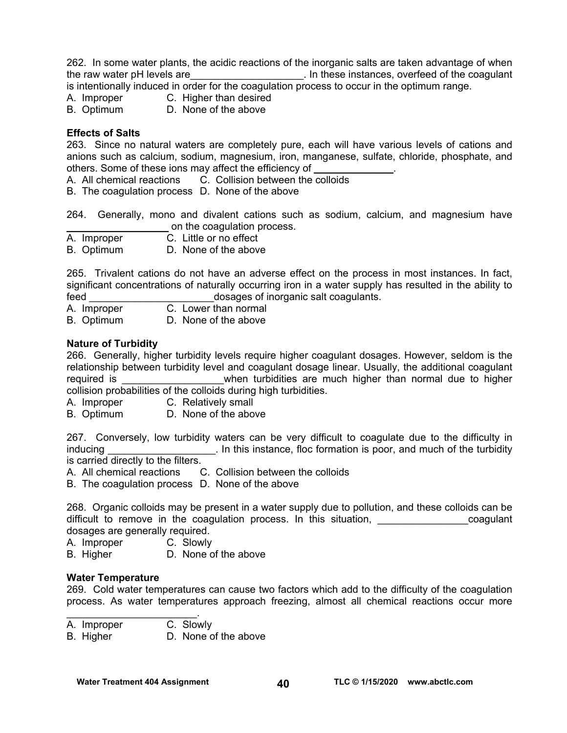262. In some water plants, the acidic reactions of the inorganic salts are taken advantage of when the raw water pH levels are **the raw water pH** levels are the coagulant of the coagulant

is intentionally induced in order for the coagulation process to occur in the optimum range.

- A. Improper C. Higher than desired
- B. Optimum D. None of the above

### **Effects of Salts**

263. Since no natural waters are completely pure, each will have various levels of cations and anions such as calcium, sodium, magnesium, iron, manganese, sulfate, chloride, phosphate, and others. Some of these ions may affect the efficiency of

A. All chemical reactions C. Collision between the colloids

B. The coagulation process D. None of the above

264. Generally, mono and divalent cations such as sodium, calcium, and magnesium have \_\_\_\_\_\_\_\_\_\_\_\_\_\_\_\_\_\_ on the coagulation process.

A. Improper C. Little or no effect

B. Optimum D. None of the above

265. Trivalent cations do not have an adverse effect on the process in most instances. In fact, significant concentrations of naturally occurring iron in a water supply has resulted in the ability to feed **the contract of inorganic salt coagulants.** 

A. Improper C. Lower than normal

B. Optimum D. None of the above

#### **Nature of Turbidity**

266. Generally, higher turbidity levels require higher coagulant dosages. However, seldom is the relationship between turbidity level and coagulant dosage linear. Usually, the additional coagulant required is **the contract in the same of the contract of the contract of the contract of the contract of the contract of the contract of the contract of the contract of the contract of the contract of the contract of the c** collision probabilities of the colloids during high turbidities.

A. Improper C. Relatively small

B. Optimum D. None of the above

267. Conversely, low turbidity waters can be very difficult to coagulate due to the difficulty in inducing **Example 2.1** In this instance, floc formation is poor, and much of the turbidity is carried directly to the filters.

A. All chemical reactions C. Collision between the colloids

B. The coagulation process D. None of the above

268. Organic colloids may be present in a water supply due to pollution, and these colloids can be difficult to remove in the coagulation process. In this situation, and the coagulant dosages are generally required.

A. Improper C. Slowly

B. Higher D. None of the above

#### **Water Temperature**

269. Cold water temperatures can cause two factors which add to the difficulty of the coagulation process. As water temperatures approach freezing, almost all chemical reactions occur more

- $\mathcal{L}_\text{max}$  , where  $\mathcal{L}_\text{max}$  and  $\mathcal{L}_\text{max}$ A. Improper C. Slowly
- B. Higher D. None of the above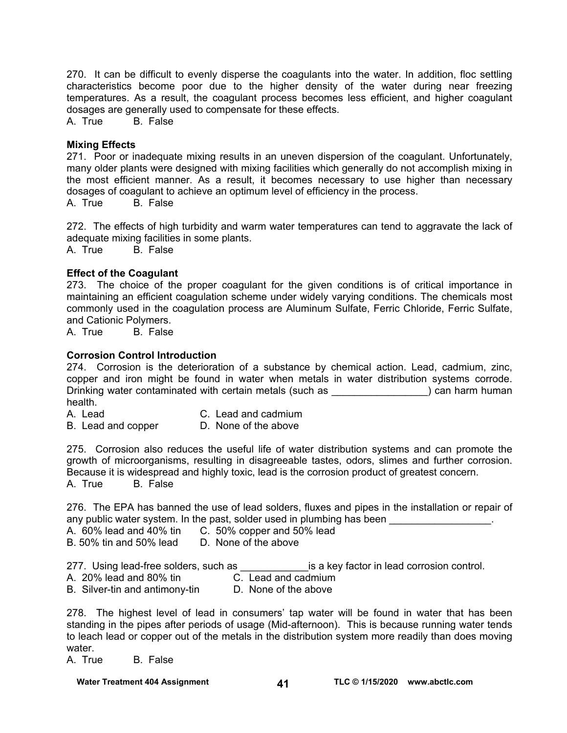270. It can be difficult to evenly disperse the coagulants into the water. In addition, floc settling characteristics become poor due to the higher density of the water during near freezing temperatures. As a result, the coagulant process becomes less efficient, and higher coagulant dosages are generally used to compensate for these effects.

A. True B. False

#### **Mixing Effects**

271. Poor or inadequate mixing results in an uneven dispersion of the coagulant. Unfortunately, many older plants were designed with mixing facilities which generally do not accomplish mixing in the most efficient manner. As a result, it becomes necessary to use higher than necessary dosages of coagulant to achieve an optimum level of efficiency in the process.

A. True B. False

272. The effects of high turbidity and warm water temperatures can tend to aggravate the lack of adequate mixing facilities in some plants.

A. True B. False

#### **Effect of the Coagulant**

273. The choice of the proper coagulant for the given conditions is of critical importance in maintaining an efficient coagulation scheme under widely varying conditions. The chemicals most commonly used in the coagulation process are Aluminum Sulfate, Ferric Chloride, Ferric Sulfate, and Cationic Polymers.<br>A. True B. False

B. False

#### **Corrosion Control Introduction**

274. Corrosion is the deterioration of a substance by chemical action. Lead, cadmium, zinc, copper and iron might be found in water when metals in water distribution systems corrode. Drinking water contaminated with certain metals (such as  $\qquad \qquad$ ) can harm human health.

- A. Lead C. Lead and cadmium
- B. Lead and copper D. None of the above

275. Corrosion also reduces the useful life of water distribution systems and can promote the growth of microorganisms, resulting in disagreeable tastes, odors, slimes and further corrosion. Because it is widespread and highly toxic, lead is the corrosion product of greatest concern. A. True B. False

276. The EPA has banned the use of lead solders, fluxes and pipes in the installation or repair of any public water system. In the past, solder used in plumbing has been

- A. 60% lead and 40% tin C. 50% copper and 50% lead
- B. 50% tin and 50% lead D. None of the above

277. Using lead-free solders, such as \_\_\_\_\_\_\_\_\_\_\_\_\_\_\_is a key factor in lead corrosion control.

A. 20% lead and 80% tin C. Lead and cadmium

B. Silver-tin and antimony-tin D. None of the above

278. The highest level of lead in consumers' tap water will be found in water that has been standing in the pipes after periods of usage (Mid-afternoon). This is because running water tends to leach lead or copper out of the metals in the distribution system more readily than does moving water.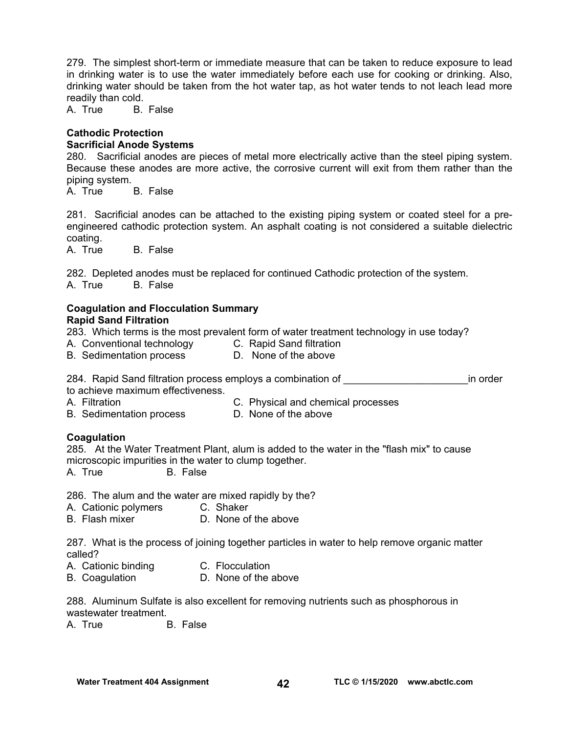279. The simplest short-term or immediate measure that can be taken to reduce exposure to lead in drinking water is to use the water immediately before each use for cooking or drinking. Also, drinking water should be taken from the hot water tap, as hot water tends to not leach lead more readily than cold.

A. True B. False

#### **Cathodic Protection Sacrificial Anode Systems**

280. Sacrificial anodes are pieces of metal more electrically active than the steel piping system. Because these anodes are more active, the corrosive current will exit from them rather than the piping system.

A. True B. False

281. Sacrificial anodes can be attached to the existing piping system or coated steel for a preengineered cathodic protection system. An asphalt coating is not considered a suitable dielectric coating.

A. True B. False

282. Depleted anodes must be replaced for continued Cathodic protection of the system. A. True B. False

### **Coagulation and Flocculation Summary Rapid Sand Filtration**

283. Which terms is the most prevalent form of water treatment technology in use today?

- A. Conventional technology C. Rapid Sand filtration
	-
- B. Sedimentation process D. None of the above

284. Rapid Sand filtration process employs a combination of **Example 284**. Rapid Sand filtration process employs a combination of to achieve maximum effectiveness.

- A. Filtration C. Physical and chemical processes
- B. Sedimentation process D. None of the above
- 

### **Coagulation**

285. At the Water Treatment Plant, alum is added to the water in the "flash mix" to cause microscopic impurities in the water to clump together.

A. True B. False

286. The alum and the water are mixed rapidly by the?

- A. Cationic polymers C. Shaker<br>B. Flash mixer C. None of
- D. None of the above

287. What is the process of joining together particles in water to help remove organic matter called?

- A. Cationic binding C. Flocculation
- B. Coagulation D. None of the above

288. Aluminum Sulfate is also excellent for removing nutrients such as phosphorous in wastewater treatment.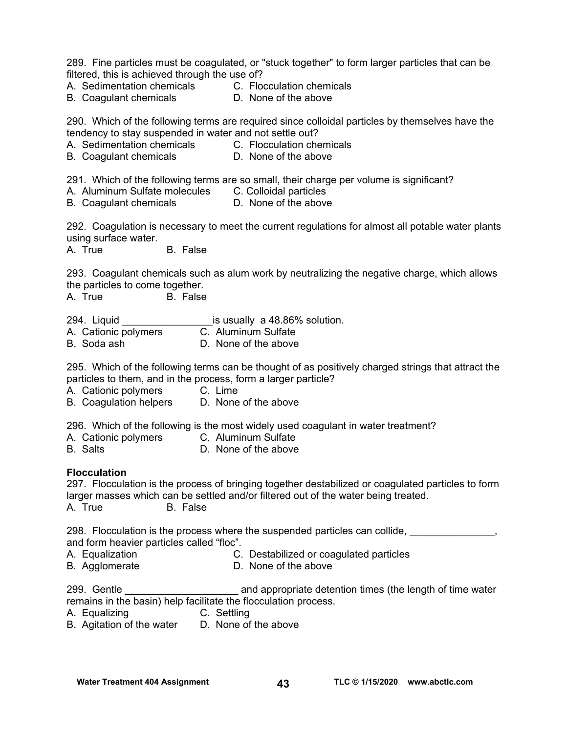289. Fine particles must be coagulated, or "stuck together" to form larger particles that can be filtered, this is achieved through the use of?

- A. Sedimentation chemicals C. Flocculation chemicals
- B. Coagulant chemicals **D.** None of the above

290. Which of the following terms are required since colloidal particles by themselves have the tendency to stay suspended in water and not settle out?

- A. Sedimentation chemicals C. Flocculation chemicals
- B. Coagulant chemicals **D.** None of the above

291. Which of the following terms are so small, their charge per volume is significant?

A. Aluminum Sulfate molecules C. Colloidal particles

B. Coagulant chemicals **D.** None of the above

292. Coagulation is necessary to meet the current regulations for almost all potable water plants using surface water.

A. True B. False

293. Coagulant chemicals such as alum work by neutralizing the negative charge, which allows the particles to come together.

A. True B. False

294. Liquid **Example 294.** Liquid **Section** is usually a 48.86% solution.

- A. Cationic polymers C. Aluminum Sulfate
- B. Soda ash D. None of the above

295. Which of the following terms can be thought of as positively charged strings that attract the particles to them, and in the process, form a larger particle?

A. Cationic polymers C. Lime

B. Coagulation helpers D. None of the above

296. Which of the following is the most widely used coagulant in water treatment?

- A. Cationic polymers C. Aluminum Sulfate
- B. Salts D. None of the above

#### **Flocculation**

297. Flocculation is the process of bringing together destabilized or coagulated particles to form larger masses which can be settled and/or filtered out of the water being treated. A. True B. False

298. Flocculation is the process where the suspended particles can collide, and form heavier particles called "floc".

- A. Equalization C. Destabilized or coagulated particles
- B. Agglomerate D. None of the above

299. Gentle **200.** Centle **and appropriate detention times (the length of time water** remains in the basin) help facilitate the flocculation process.

- A. Equalizing C. Settling
- B. Agitation of the water D. None of the above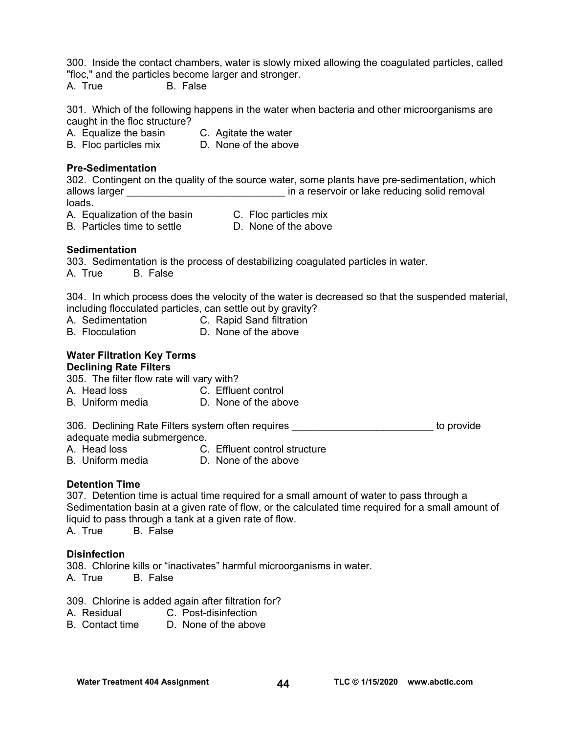300. Inside the contact chambers, water is slowly mixed allowing the coagulated particles, called "floc," and the particles become larger and stronger.

A. True B. False

301. Which of the following happens in the water when bacteria and other microorganisms are caught in the floc structure?

A. Equalize the basin C. Agitate the water

B. Floc particles mix D. None of the above

### **Pre-Sedimentation**

302. Contingent on the quality of the source water, some plants have pre-sedimentation, which allows larger **allows** larger  $\qquad \qquad$  in a reservoir or lake reducing solid removal loads.

- A. Equalization of the basin C. Floc particles mix
	-
- 
- B. Particles time to settle **D.** None of the above

### **Sedimentation**

303. Sedimentation is the process of destabilizing coagulated particles in water. A. True B. False

304. In which process does the velocity of the water is decreased so that the suspended material, including flocculated particles, can settle out by gravity?

- A. Sedimentation C. Rapid Sand filtration
- B. Flocculation **D.** None of the above

#### **Water Filtration Key Terms Declining Rate Filters**

305. The filter flow rate will vary with?

- A. Head loss C. Effluent control
- B. Uniform media **D.** None of the above

306. Declining Rate Filters system often requires **Example 2008** to provide adequate media submergence.

- A. Head loss C. Effluent control structure
- B. Uniform media D. None of the above

### **Detention Time**

307. Detention time is actual time required for a small amount of water to pass through a Sedimentation basin at a given rate of flow, or the calculated time required for a small amount of liquid to pass through a tank at a given rate of flow.

A. True B. False

### **Disinfection**

308. Chlorine kills or "inactivates" harmful microorganisms in water. A. True B. False

309. Chlorine is added again after filtration for?

- A. Residual C. Post-disinfection
- B. Contact time D. None of the above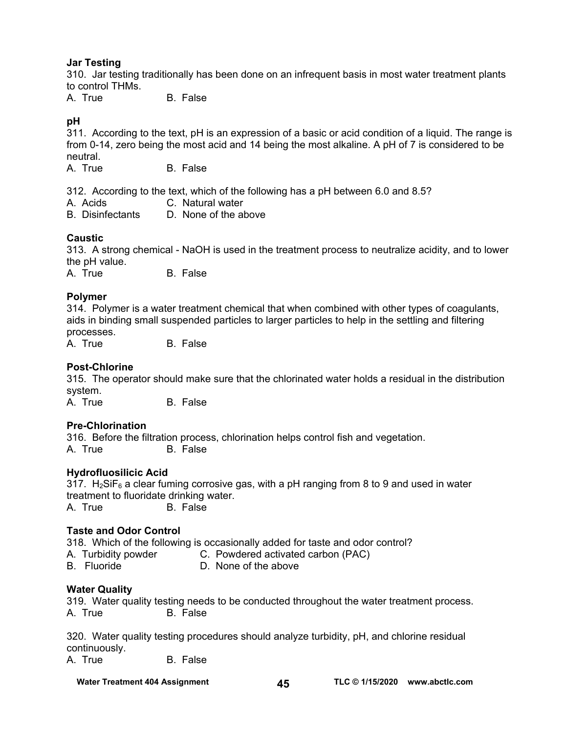### **Jar Testing**

310. Jar testing traditionally has been done on an infrequent basis in most water treatment plants to control THMs.

A. True B. False

### **pH**

311. According to the text, pH is an expression of a basic or acid condition of a liquid. The range is from 0-14, zero being the most acid and 14 being the most alkaline. A pH of 7 is considered to be neutral.<br>A. True

B. False

312. According to the text, which of the following has a pH between 6.0 and 8.5?

- A. Acids C. Natural water
- B. Disinfectants D. None of the above

### **Caustic**

313. A strong chemical - NaOH is used in the treatment process to neutralize acidity, and to lower the pH value.

A. True B. False

### **Polymer**

314. Polymer is a water treatment chemical that when combined with other types of coagulants, aids in binding small suspended particles to larger particles to help in the settling and filtering processes.

A. True B. False

### **Post-Chlorine**

315. The operator should make sure that the chlorinated water holds a residual in the distribution system.

A. True B. False

### **Pre-Chlorination**

316. Before the filtration process, chlorination helps control fish and vegetation. A. True B. False

### **Hydrofluosilicic Acid**

317.  $H_2$ SiF<sub>6</sub> a clear fuming corrosive gas, with a pH ranging from 8 to 9 and used in water treatment to fluoridate drinking water. A. True B. False

### **Taste and Odor Control**

318. Which of the following is occasionally added for taste and odor control?

A. Turbidity powder C. Powdered activated carbon (PAC)

B. Fluoride D. None of the above

### **Water Quality**

319. Water quality testing needs to be conducted throughout the water treatment process. A. True B. False

320. Water quality testing procedures should analyze turbidity, pH, and chlorine residual continuously.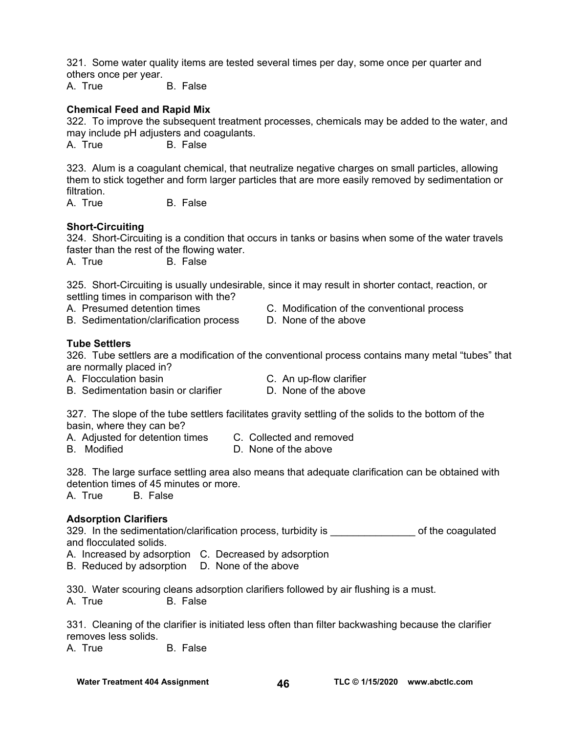321. Some water quality items are tested several times per day, some once per quarter and others once per year.

A. True B. False

### **Chemical Feed and Rapid Mix**

322. To improve the subsequent treatment processes, chemicals may be added to the water, and may include pH adjusters and coagulants.

A. True B. False

323. Alum is a coagulant chemical, that neutralize negative charges on small particles, allowing them to stick together and form larger particles that are more easily removed by sedimentation or filtration.

A. True B. False

### **Short-Circuiting**

324. Short-Circuiting is a condition that occurs in tanks or basins when some of the water travels faster than the rest of the flowing water.

A. True B. False

325. Short-Circuiting is usually undesirable, since it may result in shorter contact, reaction, or settling times in comparison with the?

- 
- B. Sedimentation/clarification process D. None of the above
- A. Presumed detention times C. Modification of the conventional process
	-

#### **Tube Settlers**

326. Tube settlers are a modification of the conventional process contains many metal "tubes" that are normally placed in?

- 
- A. Flocculation basin C. An up-flow clarifier
- B. Sedimentation basin or clarifier **D. None of the above**

327. The slope of the tube settlers facilitates gravity settling of the solids to the bottom of the basin, where they can be?

- A. Adjusted for detention times C. Collected and removed
- B. Modified **D. None of the above**
- 

328. The large surface settling area also means that adequate clarification can be obtained with detention times of 45 minutes or more.

A. True B. False

### **Adsorption Clarifiers**

329. In the sedimentation/clarification process, turbidity is example of the coagulated and flocculated solids.

A. Increased by adsorption C. Decreased by adsorption

B. Reduced by adsorption D. None of the above

330. Water scouring cleans adsorption clarifiers followed by air flushing is a must. A. True B. False

331. Cleaning of the clarifier is initiated less often than filter backwashing because the clarifier removes less solids.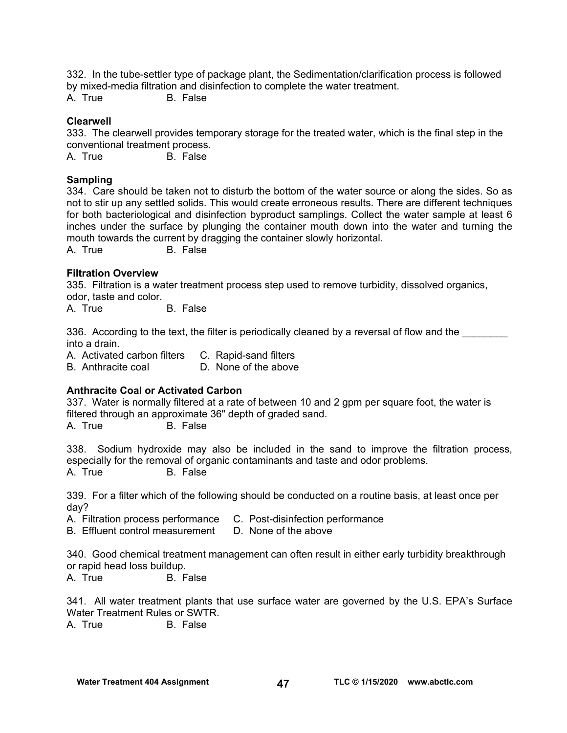332. In the tube-settler type of package plant, the Sedimentation/clarification process is followed by mixed-media filtration and disinfection to complete the water treatment.

A. True B. False

#### **Clearwell**

333. The clearwell provides temporary storage for the treated water, which is the final step in the conventional treatment process.

A. True B. False

#### **Sampling**

334. Care should be taken not to disturb the bottom of the water source or along the sides. So as not to stir up any settled solids. This would create erroneous results. There are different techniques for both bacteriological and disinfection byproduct samplings. Collect the water sample at least 6 inches under the surface by plunging the container mouth down into the water and turning the mouth towards the current by dragging the container slowly horizontal.

A. True B. False

#### **Filtration Overview**

335. Filtration is a water treatment process step used to remove turbidity, dissolved organics, odor, taste and color.

A. True B. False

336. According to the text, the filter is periodically cleaned by a reversal of flow and the into a drain.

A. Activated carbon filters C. Rapid-sand filters

B. Anthracite coal D. None of the above

### **Anthracite Coal or Activated Carbon**

337. Water is normally filtered at a rate of between 10 and 2 gpm per square foot, the water is filtered through an approximate 36" depth of graded sand. A. True B. False

338. Sodium hydroxide may also be included in the sand to improve the filtration process, especially for the removal of organic contaminants and taste and odor problems. A. True B. False

339. For a filter which of the following should be conducted on a routine basis, at least once per day?

A. Filtration process performance C. Post-disinfection performance

B. Effluent control measurement D. None of the above

340. Good chemical treatment management can often result in either early turbidity breakthrough or rapid head loss buildup.

A. True B. False

341. All water treatment plants that use surface water are governed by the U.S. EPA's Surface Water Treatment Rules or SWTR.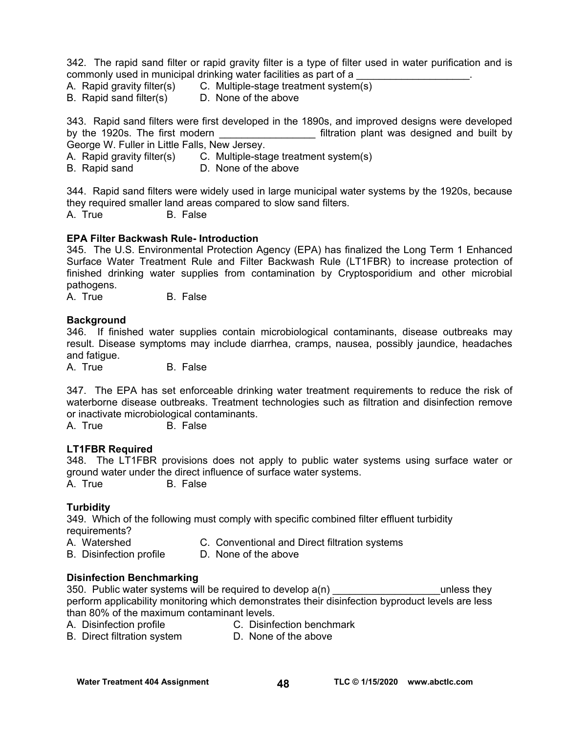342. The rapid sand filter or rapid gravity filter is a type of filter used in water purification and is commonly used in municipal drinking water facilities as part of a

A. Rapid gravity filter(s) C. Multiple-stage treatment system(s)

B. Rapid sand filter(s) D. None of the above

343. Rapid sand filters were first developed in the 1890s, and improved designs were developed by the 1920s. The first modern \_\_\_\_\_\_\_\_\_\_\_\_\_\_\_\_\_\_\_\_\_\_\_\_ filtration plant was designed and built by George W. Fuller in Little Falls, New Jersey.

A. Rapid gravity filter(s) C. Multiple-stage treatment system(s)<br>B. Rapid sand D. None of the above D. None of the above

344. Rapid sand filters were widely used in large municipal water systems by the 1920s, because they required smaller land areas compared to slow sand filters.

A. True B. False

### **EPA Filter Backwash Rule- Introduction**

345. The U.S. Environmental Protection Agency (EPA) has finalized the Long Term 1 Enhanced Surface Water Treatment Rule and Filter Backwash Rule (LT1FBR) to increase protection of finished drinking water supplies from contamination by Cryptosporidium and other microbial pathogens.

A. True B. False

#### **Background**

346. If finished water supplies contain microbiological contaminants, disease outbreaks may result. Disease symptoms may include diarrhea, cramps, nausea, possibly jaundice, headaches and fatigue.

A. True B. False

347. The EPA has set enforceable drinking water treatment requirements to reduce the risk of waterborne disease outbreaks. Treatment technologies such as filtration and disinfection remove or inactivate microbiological contaminants.

A. True B. False

### **LT1FBR Required**

348. The LT1FBR provisions does not apply to public water systems using surface water or ground water under the direct influence of surface water systems. A. True B. False

### **Turbidity**

349. Which of the following must comply with specific combined filter effluent turbidity requirements?

- A. Watershed C. Conventional and Direct filtration systems
- B. Disinfection profile D. None of the above

### **Disinfection Benchmarking**

350. Public water systems will be required to develop  $a(n)$   $\qquad \qquad$  unless they perform applicability monitoring which demonstrates their disinfection byproduct levels are less than 80% of the maximum contaminant levels.

- A. Disinfection profile C. Disinfection benchmark
	-
- B. Direct filtration system D. None of the above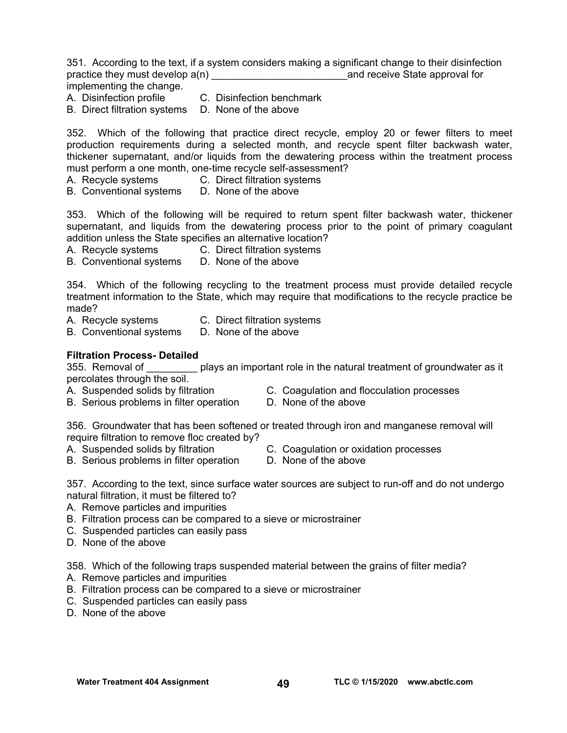351. According to the text, if a system considers making a significant change to their disinfection practice they must develop  $a(n)$  and receive State approval for implementing the change.

- A. Disinfection profile C. Disinfection benchmark
- B. Direct filtration systems D. None of the above

352. Which of the following that practice direct recycle, employ 20 or fewer filters to meet production requirements during a selected month, and recycle spent filter backwash water, thickener supernatant, and/or liquids from the dewatering process within the treatment process must perform a one month, one-time recycle self-assessment?

A. Recycle systems C. Direct filtration systems

B. Conventional systems D. None of the above

353. Which of the following will be required to return spent filter backwash water, thickener supernatant, and liquids from the dewatering process prior to the point of primary coagulant addition unless the State specifies an alternative location?

A. Recycle systems C. Direct filtration systems

B. Conventional systems D. None of the above

354. Which of the following recycling to the treatment process must provide detailed recycle treatment information to the State, which may require that modifications to the recycle practice be made?

- A. Recycle systems C. Direct filtration systems<br>B. Conventional systems D. None of the above
- B. Conventional systems

### **Filtration Process- Detailed**

355. Removal of plays an important role in the natural treatment of groundwater as it percolates through the soil.

- 
- A. Suspended solids by filtration C. Coagulation and flocculation processes
- B. Serious problems in filter operation D. None of the above

356. Groundwater that has been softened or treated through iron and manganese removal will require filtration to remove floc created by?

- A. Suspended solids by filtration C. Coagulation or oxidation processes
- B. Serious problems in filter operation D. None of the above

357. According to the text, since surface water sources are subject to run-off and do not undergo natural filtration, it must be filtered to?

- A. Remove particles and impurities
- B. Filtration process can be compared to a sieve or microstrainer
- C. Suspended particles can easily pass
- D. None of the above

358. Which of the following traps suspended material between the grains of filter media?

- A. Remove particles and impurities
- B. Filtration process can be compared to a sieve or microstrainer
- C. Suspended particles can easily pass
- D. None of the above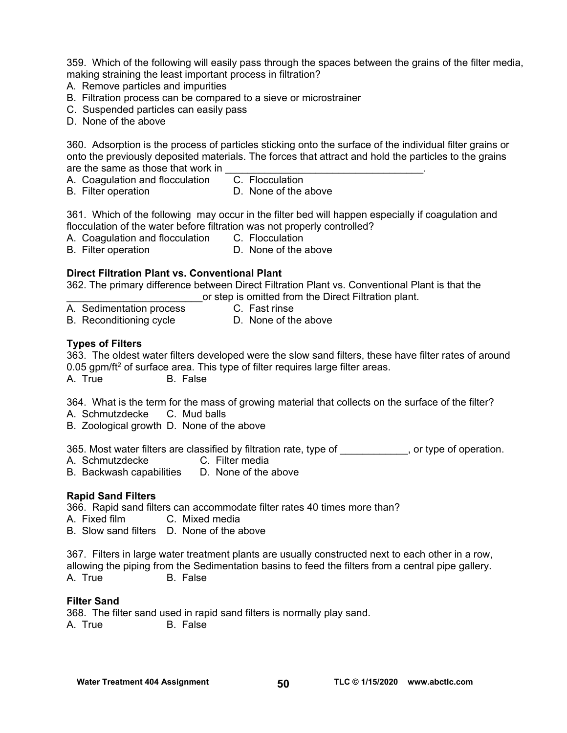359. Which of the following will easily pass through the spaces between the grains of the filter media, making straining the least important process in filtration?

- A. Remove particles and impurities
- B. Filtration process can be compared to a sieve or microstrainer
- C. Suspended particles can easily pass
- D. None of the above

360. Adsorption is the process of particles sticking onto the surface of the individual filter grains or onto the previously deposited materials. The forces that attract and hold the particles to the grains are the same as those that work in

A. Coagulation and flocculation C. Flocculation

- 
- B. Filter operation **D.** None of the above

361. Which of the following may occur in the filter bed will happen especially if coagulation and flocculation of the water before filtration was not properly controlled?

A. Coagulation and flocculation C. Flocculation

B. Filter operation **D.** None of the above

### **Direct Filtration Plant vs. Conventional Plant**

362. The primary difference between Direct Filtration Plant vs. Conventional Plant is that the \_\_\_\_\_\_\_\_\_\_\_\_\_\_\_\_\_\_\_\_\_\_\_\_or step is omitted from the Direct Filtration plant.

- A. Sedimentation process C. Fast rinse
	-
- B. Reconditioning cycle D. None of the above

### **Types of Filters**

363. The oldest water filters developed were the slow sand filters, these have filter rates of around 0.05 gpm/ft<sup>2</sup> of surface area. This type of filter requires large filter areas. A. True B. False

364. What is the term for the mass of growing material that collects on the surface of the filter?

- A. Schmutzdecke C. Mud balls
- B. Zoological growth D. None of the above

365. Most water filters are classified by filtration rate, type of \_\_\_\_\_\_\_\_\_\_, or type of operation.

- A. Schmutzdecke C. Filter media
- B. Backwash capabilities D. None of the above

### **Rapid Sand Filters**

366. Rapid sand filters can accommodate filter rates 40 times more than?

A. Fixed film C. Mixed media

B. Slow sand filters D. None of the above

367. Filters in large water treatment plants are usually constructed next to each other in a row, allowing the piping from the Sedimentation basins to feed the filters from a central pipe gallery. A. True B. False

### **Filter Sand**

368. The filter sand used in rapid sand filters is normally play sand. A. True B. False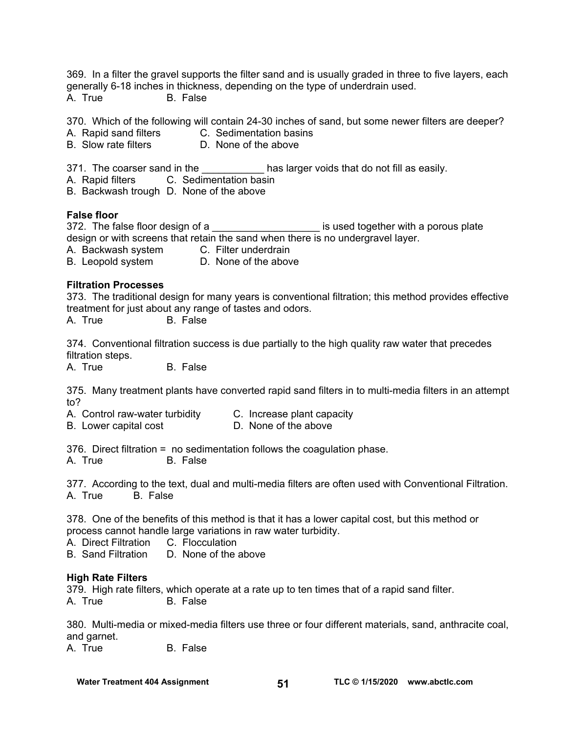369. In a filter the gravel supports the filter sand and is usually graded in three to five layers, each generally 6-18 inches in thickness, depending on the type of underdrain used. A. True B. False

370. Which of the following will contain 24-30 inches of sand, but some newer filters are deeper?

- A. Rapid sand filters C. Sedimentation basins
- B. Slow rate filters D. None of the above

371. The coarser sand in the **Example 20** has larger voids that do not fill as easily.

A. Rapid filters C. Sedimentation basin

B. Backwash trough D. None of the above

#### **False floor**

372. The false floor design of a \_\_\_\_\_\_\_\_\_\_\_\_\_\_\_\_\_\_\_\_\_\_\_\_ is used together with a porous plate design or with screens that retain the sand when there is no undergravel layer.

A. Backwash system C. Filter underdrain

B. Leopold system D. None of the above

#### **Filtration Processes**

373. The traditional design for many years is conventional filtration; this method provides effective treatment for just about any range of tastes and odors.

A. True B. False

374. Conventional filtration success is due partially to the high quality raw water that precedes filtration steps.

A. True B. False

375. Many treatment plants have converted rapid sand filters in to multi-media filters in an attempt to?

- A. Control raw-water turbidity C. Increase plant capacity
- B. Lower capital cost **D.** None of the above

376. Direct filtration = no sedimentation follows the coagulation phase.

A. True B. False

377. According to the text, dual and multi-media filters are often used with Conventional Filtration. A. True B. False

378. One of the benefits of this method is that it has a lower capital cost, but this method or process cannot handle large variations in raw water turbidity.

A. Direct Filtration C. Flocculation

B. Sand Filtration D. None of the above

#### **High Rate Filters**

379. High rate filters, which operate at a rate up to ten times that of a rapid sand filter. A. True B. False

380. Multi-media or mixed-media filters use three or four different materials, sand, anthracite coal, and garnet.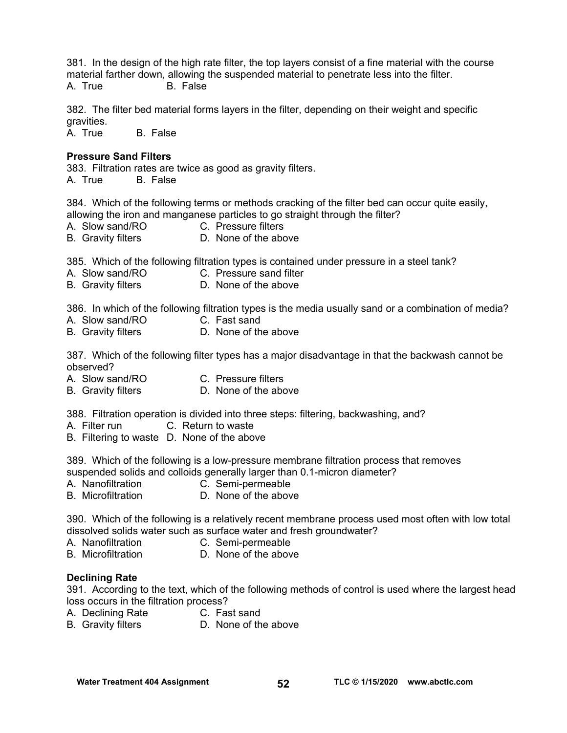381. In the design of the high rate filter, the top layers consist of a fine material with the course material farther down, allowing the suspended material to penetrate less into the filter. A. True B. False

382. The filter bed material forms layers in the filter, depending on their weight and specific gravities.

A. True B. False

#### **Pressure Sand Filters**

383. Filtration rates are twice as good as gravity filters. A. True B. False

384. Which of the following terms or methods cracking of the filter bed can occur quite easily, allowing the iron and manganese particles to go straight through the filter?

- A. Slow sand/RO C. Pressure filters
- B. Gravity filters **D. None of the above**

385. Which of the following filtration types is contained under pressure in a steel tank?

- A. Slow sand/RO C. Pressure sand filter
- B. Gravity filters **D. None of the above**

386. In which of the following filtration types is the media usually sand or a combination of media?

- A. Slow sand/RO C. Fast sand
- B. Gravity filters **D. None of the above**

387. Which of the following filter types has a major disadvantage in that the backwash cannot be observed?

- A. Slow sand/RO C. Pressure filters
- B. Gravity filters D. None of the above

388. Filtration operation is divided into three steps: filtering, backwashing, and?

- A. Filter run C. Return to waste
- B. Filtering to waste D. None of the above

389. Which of the following is a low-pressure membrane filtration process that removes suspended solids and colloids generally larger than 0.1-micron diameter?

- A. Nanofiltration C. Semi-permeable
- B. Microfiltration **D.** None of the above

390. Which of the following is a relatively recent membrane process used most often with low total dissolved solids water such as surface water and fresh groundwater?

- A. Nanofiltration C. Semi-permeable
- B. Microfiltration **D.** None of the above

#### **Declining Rate**

391. According to the text, which of the following methods of control is used where the largest head loss occurs in the filtration process?

- A. Declining Rate C. Fast sand
- B. Gravity filters **D. None of the above**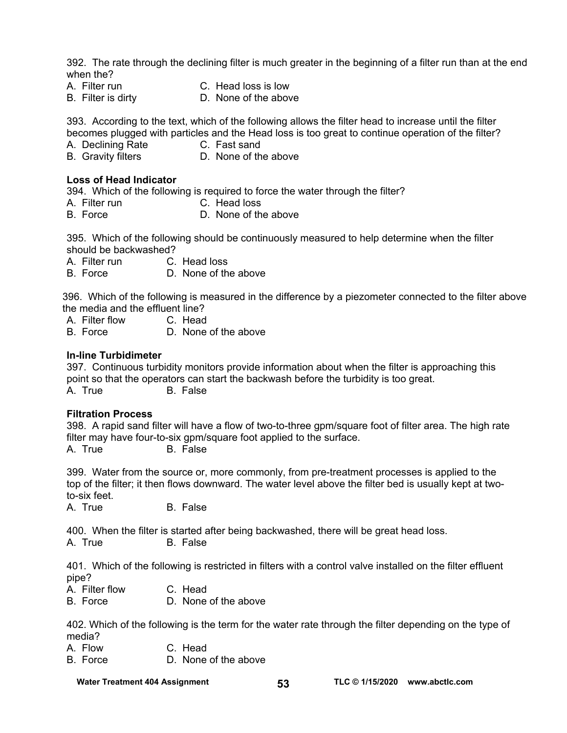392. The rate through the declining filter is much greater in the beginning of a filter run than at the end when the?

- A. Filter run C. Head loss is low
- 
- B. Filter is dirty D. None of the above

393. According to the text, which of the following allows the filter head to increase until the filter becomes plugged with particles and the Head loss is too great to continue operation of the filter?

- A. Declining Rate C. Fast sand
- 
- B. Gravity filters **D. None of the above**

#### **Loss of Head Indicator**

394. Which of the following is required to force the water through the filter?

- A. Filter run C. Head loss
- B. Force D. None of the above

395. Which of the following should be continuously measured to help determine when the filter should be backwashed?

A. Filter run C. Head loss

B. Force D. None of the above

396. Which of the following is measured in the difference by a piezometer connected to the filter above the media and the effluent line?

- A. Filter flow C. Head<br>B. Force D. None
- D. None of the above

#### **In-line Turbidimeter**

397. Continuous turbidity monitors provide information about when the filter is approaching this point so that the operators can start the backwash before the turbidity is too great. A. True B. False

#### **Filtration Process**

398. A rapid sand filter will have a flow of two-to-three gpm/square foot of filter area. The high rate filter may have four-to-six gpm/square foot applied to the surface.

A. True B. False

399. Water from the source or, more commonly, from pre-treatment processes is applied to the top of the filter; it then flows downward. The water level above the filter bed is usually kept at twoto-six feet.

A. True B. False

400. When the filter is started after being backwashed, there will be great head loss.

A. True B. False

401. Which of the following is restricted in filters with a control valve installed on the filter effluent pipe?

- A. Filter flow C. Head
- B. Force D. None of the above

402. Which of the following is the term for the water rate through the filter depending on the type of media?

- A. Flow C. Head
- B. Force D. None of the above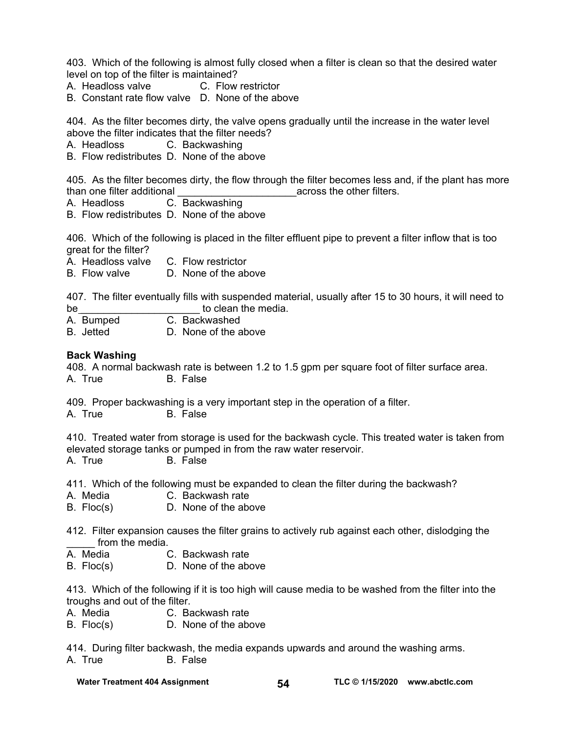403. Which of the following is almost fully closed when a filter is clean so that the desired water level on top of the filter is maintained?

- A. Headloss valve C. Flow restrictor
- B. Constant rate flow valve D. None of the above

404. As the filter becomes dirty, the valve opens gradually until the increase in the water level above the filter indicates that the filter needs?

A. Headloss C. Backwashing

B. Flow redistributes D. None of the above

405. As the filter becomes dirty, the flow through the filter becomes less and, if the plant has more than one filter additional the state of the control of the other filters.

A. Headloss C. Backwashing

B. Flow redistributes D. None of the above

406. Which of the following is placed in the filter effluent pipe to prevent a filter inflow that is too great for the filter?

- A. Headloss valve C. Flow restrictor
- B. Flow valve D. None of the above

407. The filter eventually fills with suspended material, usually after 15 to 30 hours, it will need to be to clean the media.

- A. Bumped C. Backwashed<br>B. Jetted D. None of the a
- D. None of the above

#### **Back Washing**

408. A normal backwash rate is between 1.2 to 1.5 gpm per square foot of filter surface area. A. True B. False

409. Proper backwashing is a very important step in the operation of a filter. A. True B. False

410. Treated water from storage is used for the backwash cycle. This treated water is taken from elevated storage tanks or pumped in from the raw water reservoir. A. True B. False

411. Which of the following must be expanded to clean the filter during the backwash?

- A. Media C. Backwash rate
- B. Floc(s) D. None of the above

412. Filter expansion causes the filter grains to actively rub against each other, dislodging the from the media.

- A. Media C. Backwash rate
- B. Floc(s) D. None of the above

413. Which of the following if it is too high will cause media to be washed from the filter into the troughs and out of the filter.<br>A. Media C. Ba

- C. Backwash rate
- B. Floc(s) D. None of the above

414. During filter backwash, the media expands upwards and around the washing arms. A. True B. False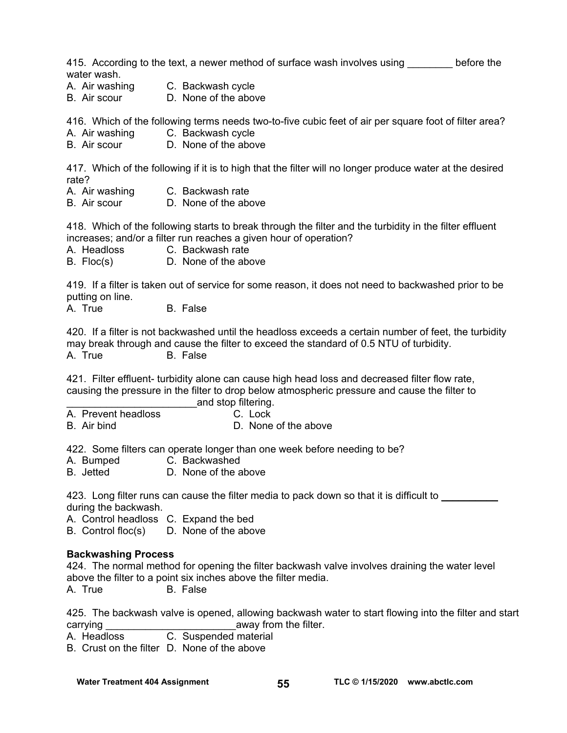415. According to the text, a newer method of surface wash involves using before the water wash.

- A. Air washing C. Backwash cycle
- B. Air scour D. None of the above

416. Which of the following terms needs two-to-five cubic feet of air per square foot of filter area?

- A. Air washing C. Backwash cycle
- B. Air scour D. None of the above

417. Which of the following if it is to high that the filter will no longer produce water at the desired rate?

- A. Air washing C. Backwash rate
- B. Air scour D. None of the above

418. Which of the following starts to break through the filter and the turbidity in the filter effluent increases; and/or a filter run reaches a given hour of operation?

- A. Headloss C. Backwash rate
- B. Floc(s) D. None of the above

419. If a filter is taken out of service for some reason, it does not need to backwashed prior to be putting on line.

A. True B. False

420. If a filter is not backwashed until the headloss exceeds a certain number of feet, the turbidity may break through and cause the filter to exceed the standard of 0.5 NTU of turbidity. A. True B. False

421. Filter effluent- turbidity alone can cause high head loss and decreased filter flow rate, causing the pressure in the filter to drop below atmospheric pressure and cause the filter to and stop filtering.

A. Prevent headloss C. Lock

B. Air bind D. None of the above

422. Some filters can operate longer than one week before needing to be?

- A. Bumped C. Backwashed
- B. Jetted D. None of the above

423. Long filter runs can cause the filter media to pack down so that it is difficult to during the backwash.

A. Control headloss C. Expand the bed

B. Control floc(s) D. None of the above

#### **Backwashing Process**

424. The normal method for opening the filter backwash valve involves draining the water level above the filter to a point six inches above the filter media. A. True B. False

425. The backwash valve is opened, allowing backwash water to start flowing into the filter and start carrying carries away from the filter.

A. Headloss C. Suspended material

B. Crust on the filter D. None of the above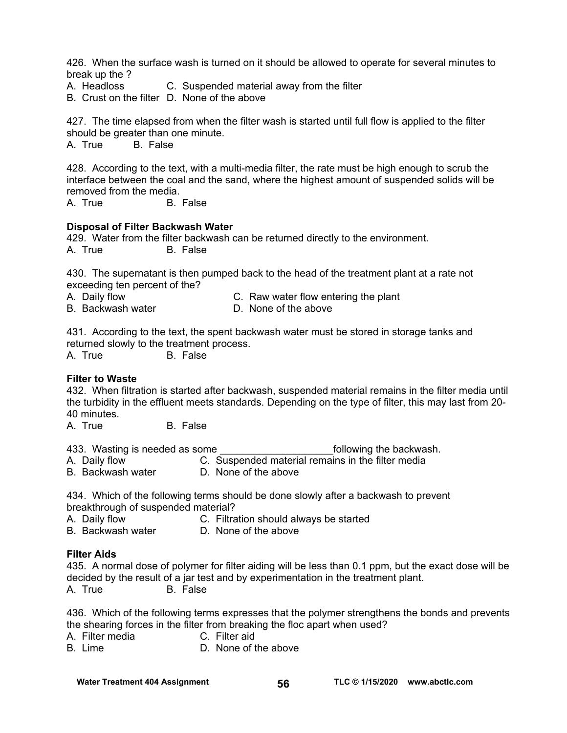426. When the surface wash is turned on it should be allowed to operate for several minutes to break up the ?

A. Headloss C. Suspended material away from the filter

B. Crust on the filter D. None of the above

427. The time elapsed from when the filter wash is started until full flow is applied to the filter should be greater than one minute.

A. True B. False

428. According to the text, with a multi-media filter, the rate must be high enough to scrub the interface between the coal and the sand, where the highest amount of suspended solids will be removed from the media.

A. True B. False

#### **Disposal of Filter Backwash Water**

429. Water from the filter backwash can be returned directly to the environment. A. True B. False

430. The supernatant is then pumped back to the head of the treatment plant at a rate not exceeding ten percent of the?

A. Daily flow **C. Raw water flow entering the plant** 

B. Backwash water **D. None of the above** 

431. According to the text, the spent backwash water must be stored in storage tanks and returned slowly to the treatment process.

A. True B. False

#### **Filter to Waste**

432. When filtration is started after backwash, suspended material remains in the filter media until the turbidity in the effluent meets standards. Depending on the type of filter, this may last from 20- 40 minutes.

A. True B. False

433. Wasting is needed as some the same and some following the backwash.

- A. Daily flow C. Suspended material remains in the filter media
- B. Backwash water D. None of the above

434. Which of the following terms should be done slowly after a backwash to prevent breakthrough of suspended material?<br>A. Daily flow C. Filtra

- C. Filtration should always be started
- B. Backwash water D. None of the above

#### **Filter Aids**

435. A normal dose of polymer for filter aiding will be less than 0.1 ppm, but the exact dose will be decided by the result of a jar test and by experimentation in the treatment plant. A. True B. False

436. Which of the following terms expresses that the polymer strengthens the bonds and prevents the shearing forces in the filter from breaking the floc apart when used?

- A. Filter media C. Filter aid
- B. Lime D. None of the above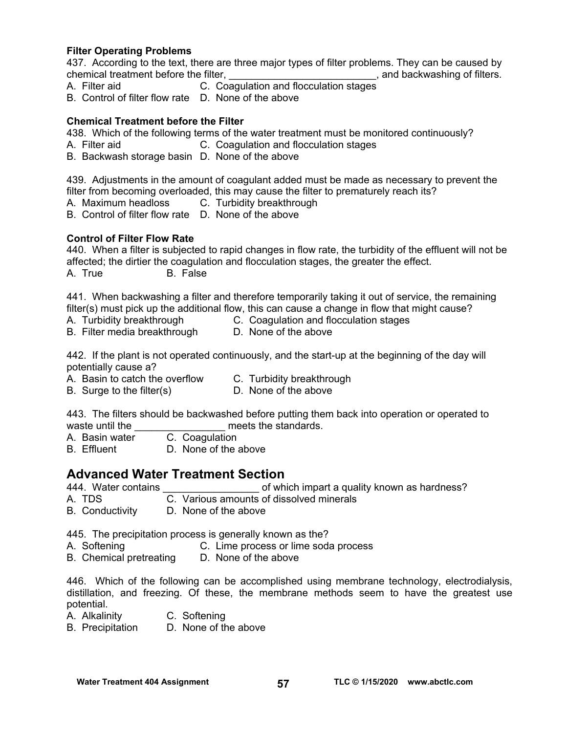### **Filter Operating Problems**

437. According to the text, there are three major types of filter problems. They can be caused by chemical treatment before the filter, chemical treatment before the filter,

- A. Filter aid C. Coagulation and flocculation stages
- B. Control of filter flow rate D. None of the above

#### **Chemical Treatment before the Filter**

438. Which of the following terms of the water treatment must be monitored continuously?

- A. Filter aid C. Coagulation and flocculation stages
- B. Backwash storage basin D. None of the above

439. Adjustments in the amount of coagulant added must be made as necessary to prevent the filter from becoming overloaded, this may cause the filter to prematurely reach its?

- A. Maximum headloss C. Turbidity breakthrough
- B. Control of filter flow rate D. None of the above

#### **Control of Filter Flow Rate**

440. When a filter is subjected to rapid changes in flow rate, the turbidity of the effluent will not be affected; the dirtier the coagulation and flocculation stages, the greater the effect. A. True B. False

441. When backwashing a filter and therefore temporarily taking it out of service, the remaining filter(s) must pick up the additional flow, this can cause a change in flow that might cause?

- A. Turbidity breakthrough C. Coagulation and flocculation stages
- B. Filter media breakthrough D. None of the above

442. If the plant is not operated continuously, and the start-up at the beginning of the day will potentially cause a?

- A. Basin to catch the overflow C. Turbidity breakthrough
- B. Surge to the filter(s) D. None of the above

443. The filters should be backwashed before putting them back into operation or operated to waste until the  $\frac{1}{\sqrt{1-\frac{1}{n}}}$  meets the standards.<br>A. Basin water C. Coaquilation

- C. Coagulation
- B. Effluent D. None of the above

### **Advanced Water Treatment Section**

444. Water contains **Exercise 2.1 September 2.444.** Water contains a state of which impart a quality known as hardness?

- A. TDS C. Various amounts of dissolved minerals
- B. Conductivity D. None of the above

445. The precipitation process is generally known as the?

- A. Softening C. Lime process or lime soda process
- B. Chemical pretreating D. None of the above

446. Which of the following can be accomplished using membrane technology, electrodialysis, distillation, and freezing. Of these, the membrane methods seem to have the greatest use potential.

- A. Alkalinity C. Softening
- B. Precipitation D. None of the above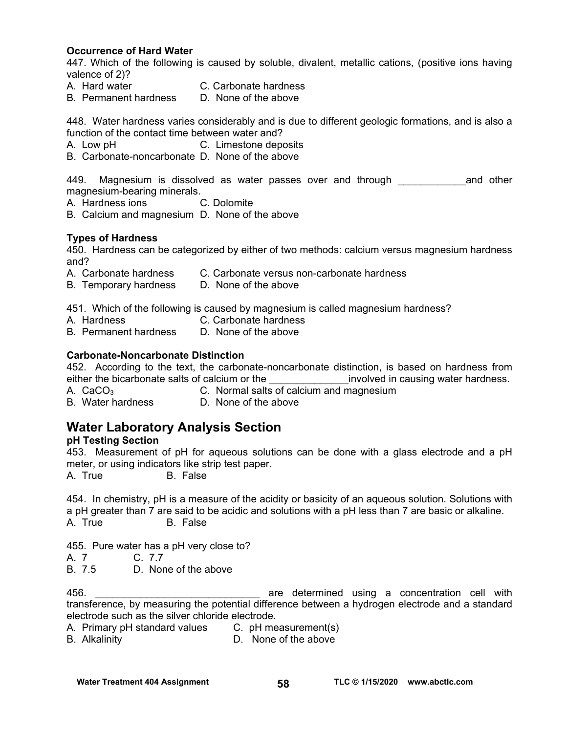### **Occurrence of Hard Water**

447. Which of the following is caused by soluble, divalent, metallic cations, (positive ions having valence of 2)?

- A. Hard water C. Carbonate hardness
- B. Permanent hardness D. None of the above

448. Water hardness varies considerably and is due to different geologic formations, and is also a function of the contact time between water and?

- A. Low pH C. Limestone deposits
- B. Carbonate-noncarbonate D. None of the above

449. Magnesium is dissolved as water passes over and through \_\_\_\_\_\_\_\_\_\_\_\_\_\_and other magnesium-bearing minerals.

A. Hardness ions C. Dolomite

B. Calcium and magnesium D. None of the above

#### **Types of Hardness**

450. Hardness can be categorized by either of two methods: calcium versus magnesium hardness and?

- A. Carbonate hardness C. Carbonate versus non-carbonate hardness
- B. Temporary hardness D. None of the above

451. Which of the following is caused by magnesium is called magnesium hardness?

- A. Hardness C. Carbonate hardness<br>B. Permanent hardness D. None of the above
- B. Permanent hardness

#### **Carbonate-Noncarbonate Distinction**

452. According to the text, the carbonate-noncarbonate distinction, is based on hardness from either the bicarbonate salts of calcium or the entity involved in causing water hardness.

- 
- A.  $CaCO<sub>3</sub>$  C. Normal salts of calcium and magnesium

B. Water hardness D. None of the above

### **Water Laboratory Analysis Section**

#### **pH Testing Section**

453. Measurement of pH for aqueous solutions can be done with a glass electrode and a pH meter, or using indicators like strip test paper.

A. True B. False

454. In chemistry, pH is a measure of the acidity or basicity of an aqueous solution. Solutions with a pH greater than 7 are said to be acidic and solutions with a pH less than 7 are basic or alkaline. A. True B. False

455. Pure water has a pH very close to?

A 7 C. 77

B. 7.5 D. None of the above

456. \_\_\_\_\_\_\_\_\_\_\_\_\_\_\_\_\_\_\_\_\_\_\_\_\_\_\_\_\_ are determined using a concentration cell with transference, by measuring the potential difference between a hydrogen electrode and a standard electrode such as the silver chloride electrode.

A. Primary pH standard values C. pH measurement(s)

B. Alkalinity D. None of the above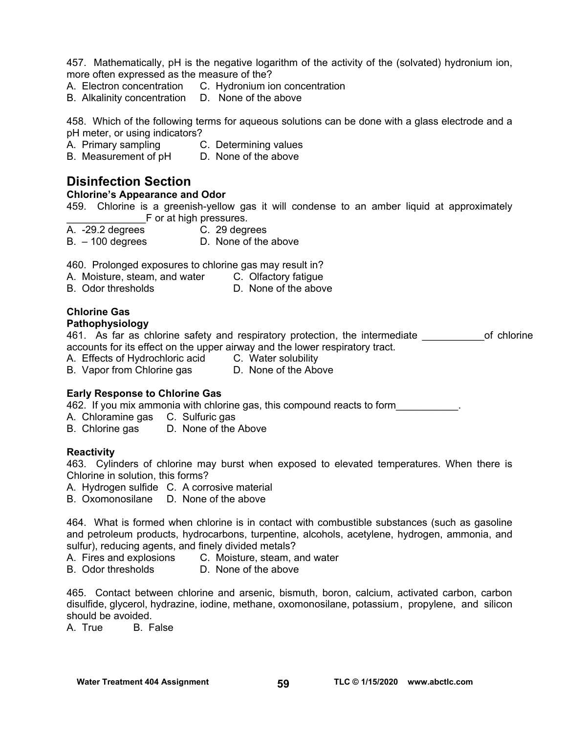457. Mathematically, pH is the negative logarithm of the activity of the (solvated) hydronium ion, more often expressed as the measure of the?

- A. Electron concentration C. Hydronium ion concentration
- B. Alkalinity concentration D. None of the above

458. Which of the following terms for aqueous solutions can be done with a glass electrode and a pH meter, or using indicators?

A. Primary sampling C. Determining values

B. Measurement of pH D. None of the above

## **Disinfection Section**

#### **Chlorine's Appearance and Odor**

459. Chlorine is a greenish-yellow gas it will condense to an amber liquid at approximately F or at high pressures.

- A. -29.2 degrees C. 29 degrees
- 
- B. 100 degrees D. None of the above

460. Prolonged exposures to chlorine gas may result in?

- A. Moisture, steam, and water C. Olfactory fatigue
- B. Odor thresholds D. None of the above

### **Chlorine Gas**

#### **Pathophysiology**

461. As far as chlorine safety and respiratory protection, the intermediate \_\_\_\_\_\_\_\_\_\_\_\_\_of chlorine accounts for its effect on the upper airway and the lower respiratory tract.

A. Effects of Hydrochloric acid C. Water solubility

B. Vapor from Chlorine gas D. None of the Above

### **Early Response to Chlorine Gas**

462. If you mix ammonia with chlorine gas, this compound reacts to form\_\_\_\_\_\_\_\_\_\_\_.

A. Chloramine gas C. Sulfuric gas

B. Chlorine gas D. None of the Above

#### **Reactivity**

463. Cylinders of chlorine may burst when exposed to elevated temperatures. When there is Chlorine in solution, this forms?

- A. Hydrogen sulfide C. A corrosive material
- B. Oxomonosilane D. None of the above

464. What is formed when chlorine is in contact with combustible substances (such as gasoline and petroleum products, hydrocarbons, turpentine, alcohols, acetylene, hydrogen, ammonia, and sulfur), reducing agents, and finely divided metals?

- A. Fires and explosions C. Moisture, steam, and water
- B. Odor thresholds D. None of the above

465. Contact between chlorine and arsenic, bismuth, boron, calcium, activated carbon, carbon disulfide, glycerol, hydrazine, iodine, methane, oxomonosilane, potassium , propylene, and silicon should be avoided.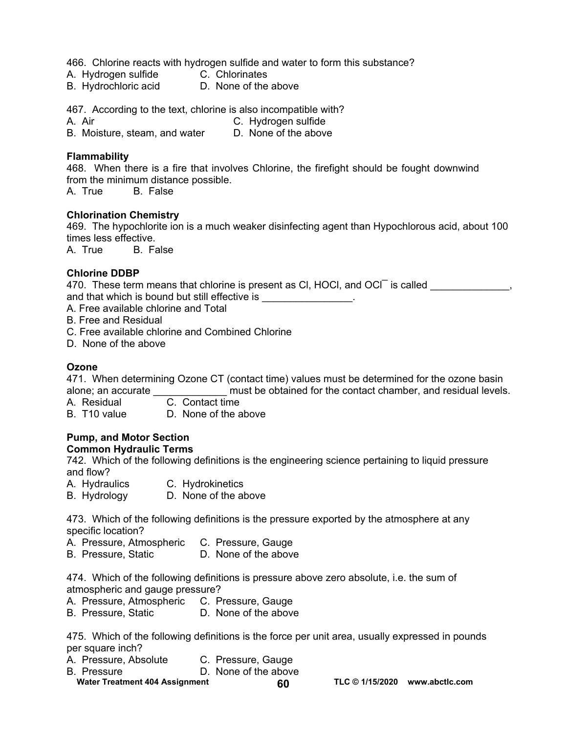466. Chlorine reacts with hydrogen sulfide and water to form this substance?

- A. Hydrogen sulfide C. Chlorinates
- B. Hydrochloric acid **D.** None of the above

467. According to the text, chlorine is also incompatible with?

A. Air C. Hydrogen sulfide

B. Moisture, steam, and water D. None of the above

### **Flammability**

468. When there is a fire that involves Chlorine, the firefight should be fought downwind from the minimum distance possible.

A. True B. False

#### **Chlorination Chemistry**

469. The hypochlorite ion is a much weaker disinfecting agent than Hypochlorous acid, about 100 times less effective.

A. True B. False

### **Chlorine DDBP**

470. These term means that chlorine is present as CI, HOCI, and OCI is called \_\_\_\_\_\_\_\_\_\_\_\_\_, and that which is bound but still effective is \_\_\_\_\_\_\_\_\_\_\_\_\_\_\_\_.

A. Free available chlorine and Total

- B. Free and Residual
- C. Free available chlorine and Combined Chlorine
- D. None of the above

### **Ozone**

471. When determining Ozone CT (contact time) values must be determined for the ozone basin alone; an accurate \_\_\_\_\_\_\_\_\_\_\_\_\_ must be obtained for the contact chamber, and residual levels.

A. Residual

B. T10 value D. None of the above

### **Pump, and Motor Section**

#### **Common Hydraulic Terms**

742. Which of the following definitions is the engineering science pertaining to liquid pressure and flow?

A. Hydraulics C. Hydrokinetics

B. Hydrology D. None of the above

473. Which of the following definitions is the pressure exported by the atmosphere at any specific location?

- A. Pressure, Atmospheric C. Pressure, Gauge
- B. Pressure, Static **D. None of the above**

474. Which of the following definitions is pressure above zero absolute, i.e. the sum of atmospheric and gauge pressure?

- A. Pressure, Atmospheric C. Pressure, Gauge
- B. Pressure, Static D. None of the above

475. Which of the following definitions is the force per unit area, usually expressed in pounds per square inch?

- A. Pressure, Absolute C. Pressure, Gauge
- B. Pressure **D. None of the above**
- Water Treatment 404 Assignment **60** 60 TLC © 1/15/2020 www.abctlc.com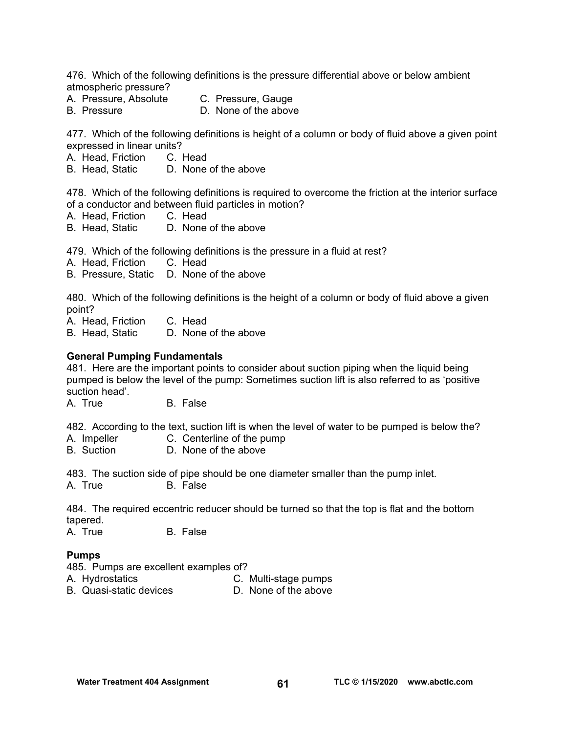476. Which of the following definitions is the pressure differential above or below ambient atmospheric pressure?

- A. Pressure, Absolute C. Pressure, Gauge
- B. Pressure D. None of the above

477. Which of the following definitions is height of a column or body of fluid above a given point

expressed in linear units?<br>A. Head, Friction C. Head A. Head, Friction

B. Head, Static D. None of the above

478. Which of the following definitions is required to overcome the friction at the interior surface of a conductor and between fluid particles in motion?

- A. Head, Friction C. Head
- B. Head, Static D. None of the above

479. Which of the following definitions is the pressure in a fluid at rest?

- A. Head, Friction C. Head
- B. Pressure, Static D. None of the above

480. Which of the following definitions is the height of a column or body of fluid above a given point?

A. Head, Friction C. Head

B. Head, Static D. None of the above

#### **General Pumping Fundamentals**

481. Here are the important points to consider about suction piping when the liquid being pumped is below the level of the pump: Sometimes suction lift is also referred to as 'positive suction head'.

A. True B. False

482. According to the text, suction lift is when the level of water to be pumped is below the?

- A. Impeller C. Centerline of the pump
- B. Suction D. None of the above

483. The suction side of pipe should be one diameter smaller than the pump inlet. A. True B. False

484. The required eccentric reducer should be turned so that the top is flat and the bottom tapered.

A. True B. False

#### **Pumps**

485. Pumps are excellent examples of?

- A. Hydrostatics C. Multi-stage pumps
	-
- B. Quasi-static devices D. None of the above
-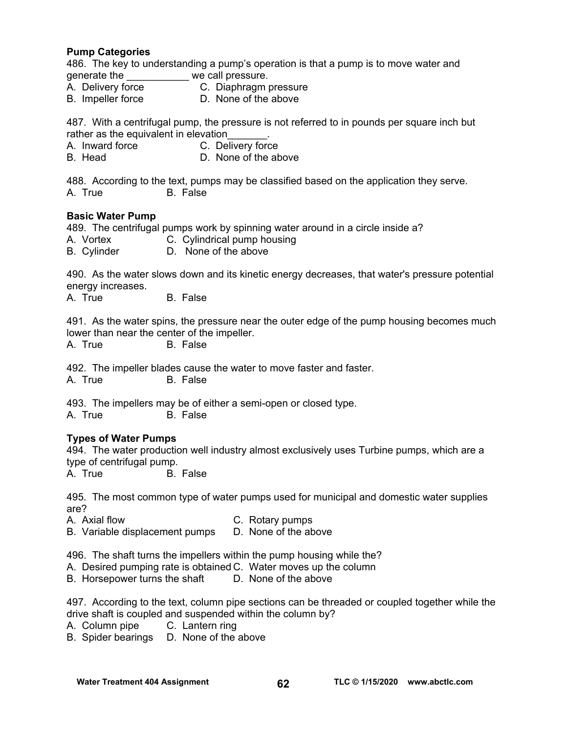#### **Pump Categories**

486. The key to understanding a pump's operation is that a pump is to move water and generate the \_\_\_\_\_\_\_\_\_\_\_ we call pressure.

- A. Delivery force C. Diaphragm pressure
- B. Impeller force D. None of the above

487. With a centrifugal pump, the pressure is not referred to in pounds per square inch but rather as the equivalent in elevation

- A. Inward force C. Delivery force
- B. Head D. None of the above

488. According to the text, pumps may be classified based on the application they serve. A. True B. False

#### **Basic Water Pump**

489. The centrifugal pumps work by spinning water around in a circle inside a?

- A. Vortex **C. Cylindrical pump housing**
- B. Cylinder D. None of the above

490. As the water slows down and its kinetic energy decreases, that water's pressure potential energy increases.

A. True B. False

491. As the water spins, the pressure near the outer edge of the pump housing becomes much lower than near the center of the impeller.

A. True B. False

492. The impeller blades cause the water to move faster and faster. A. True B. False

493. The impellers may be of either a semi-open or closed type. A. True B. False

### **Types of Water Pumps**

494. The water production well industry almost exclusively uses Turbine pumps, which are a type of centrifugal pump.<br>A. True B.

B. False

495. The most common type of water pumps used for municipal and domestic water supplies are?

- A. Axial flow C. Rotary pumps
	-
- B. Variable displacement pumps D. None of the above

496. The shaft turns the impellers within the pump housing while the?

- A. Desired pumping rate is obtained C. Water moves up the column
- B. Horsepower turns the shaft D. None of the above

497. According to the text, column pipe sections can be threaded or coupled together while the drive shaft is coupled and suspended within the column by?

- A. Column pipe C. Lantern ring
- B. Spider bearings D. None of the above